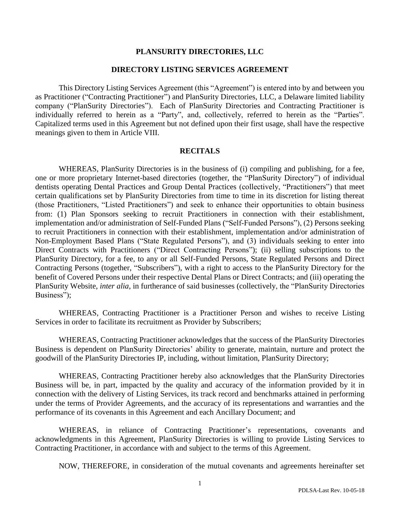### **PLANSURITY DIRECTORIES, LLC**

### **DIRECTORY LISTING SERVICES AGREEMENT**

This Directory Listing Services Agreement (this "Agreement") is entered into by and between you as Practitioner ("Contracting Practitioner") and PlanSurity Directories, LLC, a Delaware limited liability company ("PlanSurity Directories"). Each of PlanSurity Directories and Contracting Practitioner is individually referred to herein as a "Party", and, collectively, referred to herein as the "Parties". Capitalized terms used in this Agreement but not defined upon their first usage, shall have the respective meanings given to them in Article VIII.

### **RECITALS**

WHEREAS, PlanSurity Directories is in the business of (i) compiling and publishing, for a fee, one or more proprietary Internet-based directories (together, the "PlanSurity Directory") of individual dentists operating Dental Practices and Group Dental Practices (collectively, "Practitioners") that meet certain qualifications set by PlanSurity Directories from time to time in its discretion for listing thereat (those Practitioners, "Listed Practitioners") and seek to enhance their opportunities to obtain business from: (1) Plan Sponsors seeking to recruit Practitioners in connection with their establishment, implementation and/or administration of Self-Funded Plans ("Self-Funded Persons"), (2) Persons seeking to recruit Practitioners in connection with their establishment, implementation and/or administration of Non-Employment Based Plans ("State Regulated Persons"), and (3) individuals seeking to enter into Direct Contracts with Practitioners ("Direct Contracting Persons"); (ii) selling subscriptions to the PlanSurity Directory, for a fee, to any or all Self-Funded Persons, State Regulated Persons and Direct Contracting Persons (together, "Subscribers"), with a right to access to the PlanSurity Directory for the benefit of Covered Persons under their respective Dental Plans or Direct Contracts; and (iii) operating the PlanSurity Website, *inter alia*, in furtherance of said businesses (collectively, the "PlanSurity Directories Business");

WHEREAS, Contracting Practitioner is a Practitioner Person and wishes to receive Listing Services in order to facilitate its recruitment as Provider by Subscribers;

WHEREAS, Contracting Practitioner acknowledges that the success of the PlanSurity Directories Business is dependent on PlanSurity Directories' ability to generate, maintain, nurture and protect the goodwill of the PlanSurity Directories IP, including, without limitation, PlanSurity Directory;

WHEREAS, Contracting Practitioner hereby also acknowledges that the PlanSurity Directories Business will be, in part, impacted by the quality and accuracy of the information provided by it in connection with the delivery of Listing Services, its track record and benchmarks attained in performing under the terms of Provider Agreements, and the accuracy of its representations and warranties and the performance of its covenants in this Agreement and each Ancillary Document; and

WHEREAS, in reliance of Contracting Practitioner's representations, covenants and acknowledgments in this Agreement, PlanSurity Directories is willing to provide Listing Services to Contracting Practitioner, in accordance with and subject to the terms of this Agreement.

NOW, THEREFORE, in consideration of the mutual covenants and agreements hereinafter set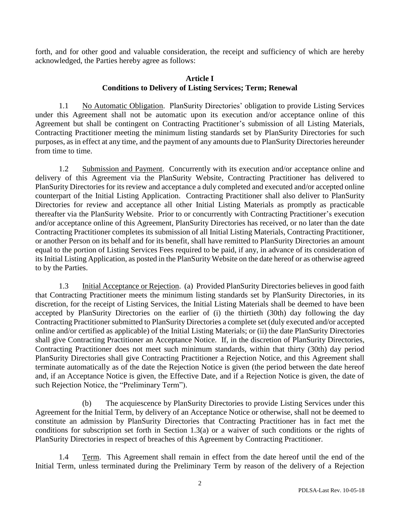forth, and for other good and valuable consideration, the receipt and sufficiency of which are hereby acknowledged, the Parties hereby agree as follows:

## **Article I Conditions to Delivery of Listing Services; Term; Renewal**

1.1 No Automatic Obligation. PlanSurity Directories' obligation to provide Listing Services under this Agreement shall not be automatic upon its execution and/or acceptance online of this Agreement but shall be contingent on Contracting Practitioner's submission of all Listing Materials, Contracting Practitioner meeting the minimum listing standards set by PlanSurity Directories for such purposes, as in effect at any time, and the payment of any amounts due to PlanSurity Directories hereunder from time to time.

1.2 Submission and Payment. Concurrently with its execution and/or acceptance online and delivery of this Agreement via the PlanSurity Website, Contracting Practitioner has delivered to PlanSurity Directories for its review and acceptance a duly completed and executed and/or accepted online counterpart of the Initial Listing Application. Contracting Practitioner shall also deliver to PlanSurity Directories for review and acceptance all other Initial Listing Materials as promptly as practicable thereafter via the PlanSurity Website. Prior to or concurrently with Contracting Practitioner's execution and/or acceptance online of this Agreement, PlanSurity Directories has received, or no later than the date Contracting Practitioner completes its submission of all Initial Listing Materials, Contracting Practitioner, or another Person on its behalf and for its benefit, shall have remitted to PlanSurity Directories an amount equal to the portion of Listing Services Fees required to be paid, if any, in advance of its consideration of its Initial Listing Application, as posted in the PlanSurity Website on the date hereof or as otherwise agreed to by the Parties.

1.3 Initial Acceptance or Rejection. (a) Provided PlanSurity Directories believes in good faith that Contracting Practitioner meets the minimum listing standards set by PlanSurity Directories, in its discretion, for the receipt of Listing Services, the Initial Listing Materials shall be deemed to have been accepted by PlanSurity Directories on the earlier of (i) the thirtieth (30th) day following the day Contracting Practitioner submitted to PlanSurity Directories a complete set (duly executed and/or accepted online and/or certified as applicable) of the Initial Listing Materials; or (ii) the date PlanSurity Directories shall give Contracting Practitioner an Acceptance Notice. If, in the discretion of PlanSurity Directories, Contracting Practitioner does not meet such minimum standards, within that thirty (30th) day period PlanSurity Directories shall give Contracting Practitioner a Rejection Notice, and this Agreement shall terminate automatically as of the date the Rejection Notice is given (the period between the date hereof and, if an Acceptance Notice is given, the Effective Date, and if a Rejection Notice is given, the date of such Rejection Notice, the "Preliminary Term").

(b) The acquiescence by PlanSurity Directories to provide Listing Services under this Agreement for the Initial Term, by delivery of an Acceptance Notice or otherwise, shall not be deemed to constitute an admission by PlanSurity Directories that Contracting Practitioner has in fact met the conditions for subscription set forth in Section 1.3(a) or a waiver of such conditions or the rights of PlanSurity Directories in respect of breaches of this Agreement by Contracting Practitioner.

1.4 Term. This Agreement shall remain in effect from the date hereof until the end of the Initial Term, unless terminated during the Preliminary Term by reason of the delivery of a Rejection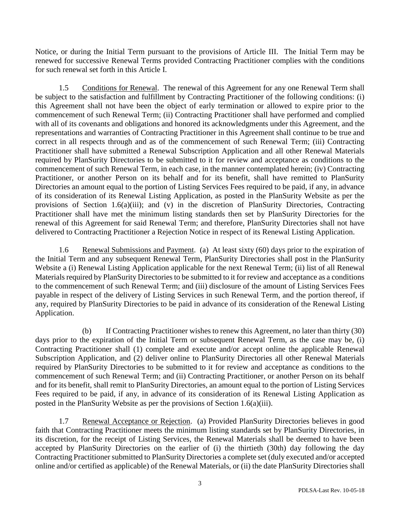Notice, or during the Initial Term pursuant to the provisions of Article III. The Initial Term may be renewed for successive Renewal Terms provided Contracting Practitioner complies with the conditions for such renewal set forth in this Article I.

1.5 Conditions for Renewal. The renewal of this Agreement for any one Renewal Term shall be subject to the satisfaction and fulfillment by Contracting Practitioner of the following conditions: (i) this Agreement shall not have been the object of early termination or allowed to expire prior to the commencement of such Renewal Term; (ii) Contracting Practitioner shall have performed and complied with all of its covenants and obligations and honored its acknowledgments under this Agreement, and the representations and warranties of Contracting Practitioner in this Agreement shall continue to be true and correct in all respects through and as of the commencement of such Renewal Term; (iii) Contracting Practitioner shall have submitted a Renewal Subscription Application and all other Renewal Materials required by PlanSurity Directories to be submitted to it for review and acceptance as conditions to the commencement of such Renewal Term, in each case, in the manner contemplated herein; (iv) Contracting Practitioner, or another Person on its behalf and for its benefit, shall have remitted to PlanSurity Directories an amount equal to the portion of Listing Services Fees required to be paid, if any, in advance of its consideration of its Renewal Listing Application, as posted in the PlanSurity Website as per the provisions of Section 1.6(a)(iii); and (v) in the discretion of PlanSurity Directories, Contracting Practitioner shall have met the minimum listing standards then set by PlanSurity Directories for the renewal of this Agreement for said Renewal Term; and therefore, PlanSurity Directories shall not have delivered to Contracting Practitioner a Rejection Notice in respect of its Renewal Listing Application.

1.6 Renewal Submissions and Payment. (a) At least sixty (60) days prior to the expiration of the Initial Term and any subsequent Renewal Term, PlanSurity Directories shall post in the PlanSurity Website a (i) Renewal Listing Application applicable for the next Renewal Term; (ii) list of all Renewal Materials required by PlanSurity Directories to be submitted to it for review and acceptance as a conditions to the commencement of such Renewal Term; and (iii) disclosure of the amount of Listing Services Fees payable in respect of the delivery of Listing Services in such Renewal Term, and the portion thereof, if any, required by PlanSurity Directories to be paid in advance of its consideration of the Renewal Listing Application.

(b) If Contracting Practitioner wishes to renew this Agreement, no later than thirty (30) days prior to the expiration of the Initial Term or subsequent Renewal Term, as the case may be, (i) Contracting Practitioner shall (1) complete and execute and/or accept online the applicable Renewal Subscription Application, and (2) deliver online to PlanSurity Directories all other Renewal Materials required by PlanSurity Directories to be submitted to it for review and acceptance as conditions to the commencement of such Renewal Term; and (ii) Contracting Practitioner, or another Person on its behalf and for its benefit, shall remit to PlanSurity Directories, an amount equal to the portion of Listing Services Fees required to be paid, if any, in advance of its consideration of its Renewal Listing Application as posted in the PlanSurity Website as per the provisions of Section 1.6(a)(iii).

1.7 Renewal Acceptance or Rejection. (a) Provided PlanSurity Directories believes in good faith that Contracting Practitioner meets the minimum listing standards set by PlanSurity Directories, in its discretion, for the receipt of Listing Services, the Renewal Materials shall be deemed to have been accepted by PlanSurity Directories on the earlier of (i) the thirtieth (30th) day following the day Contracting Practitioner submitted to PlanSurity Directories a complete set (duly executed and/or accepted online and/or certified as applicable) of the Renewal Materials, or (ii) the date PlanSurity Directories shall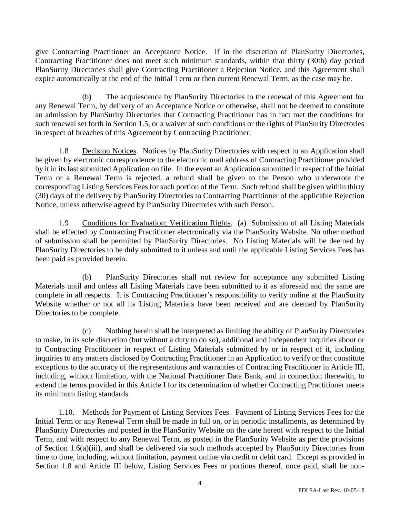give Contracting Practitioner an Acceptance Notice. If in the discretion of PlanSurity Directories, Contracting Practitioner does not meet such minimum standards, within that thirty (30th) day period PlanSurity Directories shall give Contracting Practitioner a Rejection Notice, and this Agreement shall expire automatically at the end of the Initial Term or then current Renewal Term, as the case may be.

(b) The acquiescence by PlanSurity Directories to the renewal of this Agreement for any Renewal Term, by delivery of an Acceptance Notice or otherwise, shall not be deemed to constitute an admission by PlanSurity Directories that Contracting Practitioner has in fact met the conditions for such renewal set forth in Section 1.5, or a waiver of such conditions or the rights of PlanSurity Directories in respect of breaches of this Agreement by Contracting Practitioner.

1.8 Decision Notices. Notices by PlanSurity Directories with respect to an Application shall be given by electronic correspondence to the electronic mail address of Contracting Practitioner provided by it in its last submitted Application on file. In the event an Application submitted in respect of the Initial Term or a Renewal Term is rejected, a refund shall be given to the Person who underwrote the corresponding Listing Services Fees for such portion of the Term. Such refund shall be given within thirty (30) days of the delivery by PlanSurity Directories to Contracting Practitioner of the applicable Rejection Notice, unless otherwise agreed by PlanSurity Directories with such Person.

1.9 Conditions for Evaluation; Verification Rights. (a) Submission of all Listing Materials shall be effected by Contracting Practitioner electronically via the PlanSurity Website. No other method of submission shall be permitted by PlanSurity Directories. No Listing Materials will be deemed by PlanSurity Directories to be duly submitted to it unless and until the applicable Listing Services Fees has been paid as provided herein.

(b) PlanSurity Directories shall not review for acceptance any submitted Listing Materials until and unless all Listing Materials have been submitted to it as aforesaid and the same are complete in all respects. It is Contracting Practitioner's responsibility to verify online at the PlanSurity Website whether or not all its Listing Materials have been received and are deemed by PlanSurity Directories to be complete.

(c) Nothing herein shall be interpreted as limiting the ability of PlanSurity Directories to make, in its sole discretion (but without a duty to do so), additional and independent inquiries about or to Contracting Practitioner in respect of Listing Materials submitted by or in respect of it, including inquiries to any matters disclosed by Contracting Practitioner in an Application to verify or that constitute exceptions to the accuracy of the representations and warranties of Contracting Practitioner in Article III, including, without limitation, with the National Practitioner Data Bank, and in connection therewith, to extend the terms provided in this Article I for its determination of whether Contracting Practitioner meets its minimum listing standards.

1.10. Methods for Payment of Listing Services Fees. Payment of Listing Services Fees for the Initial Term or any Renewal Term shall be made in full on, or in periodic installments, as determined by PlanSurity Directories and posted in the PlanSurity Website on the date hereof with respect to the Initial Term, and with respect to any Renewal Term, as posted in the PlanSurity Website as per the provisions of Section 1.6(a)(iii), and shall be delivered via such methods accepted by PlanSurity Directories from time to time, including, without limitation, payment online via credit or debit card. Except as provided in Section 1.8 and Article III below, Listing Services Fees or portions thereof, once paid, shall be non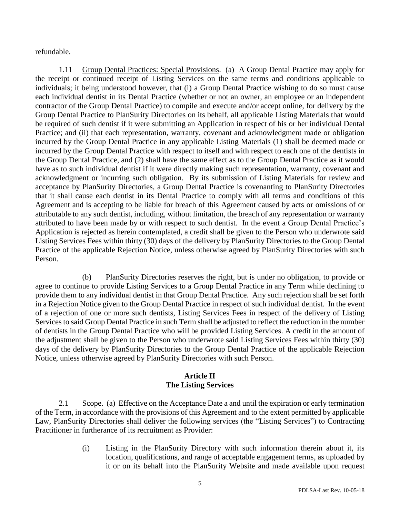refundable.

1.11 Group Dental Practices: Special Provisions. (a) A Group Dental Practice may apply for the receipt or continued receipt of Listing Services on the same terms and conditions applicable to individuals; it being understood however, that (i) a Group Dental Practice wishing to do so must cause each individual dentist in its Dental Practice (whether or not an owner, an employee or an independent contractor of the Group Dental Practice) to compile and execute and/or accept online, for delivery by the Group Dental Practice to PlanSurity Directories on its behalf, all applicable Listing Materials that would be required of such dentist if it were submitting an Application in respect of his or her individual Dental Practice; and (ii) that each representation, warranty, covenant and acknowledgment made or obligation incurred by the Group Dental Practice in any applicable Listing Materials (1) shall be deemed made or incurred by the Group Dental Practice with respect to itself and with respect to each one of the dentists in the Group Dental Practice, and (2) shall have the same effect as to the Group Dental Practice as it would have as to such individual dentist if it were directly making such representation, warranty, covenant and acknowledgment or incurring such obligation. By its submission of Listing Materials for review and acceptance by PlanSurity Directories, a Group Dental Practice is covenanting to PlanSurity Directories that it shall cause each dentist in its Dental Practice to comply with all terms and conditions of this Agreement and is accepting to be liable for breach of this Agreement caused by acts or omissions of or attributable to any such dentist, including, without limitation, the breach of any representation or warranty attributed to have been made by or with respect to such dentist. In the event a Group Dental Practice's Application is rejected as herein contemplated, a credit shall be given to the Person who underwrote said Listing Services Fees within thirty (30) days of the delivery by PlanSurity Directories to the Group Dental Practice of the applicable Rejection Notice, unless otherwise agreed by PlanSurity Directories with such Person.

(b) PlanSurity Directories reserves the right, but is under no obligation, to provide or agree to continue to provide Listing Services to a Group Dental Practice in any Term while declining to provide them to any individual dentist in that Group Dental Practice. Any such rejection shall be set forth in a Rejection Notice given to the Group Dental Practice in respect of such individual dentist. In the event of a rejection of one or more such dentists, Listing Services Fees in respect of the delivery of Listing Services to said Group Dental Practice in such Term shall be adjusted to reflect the reduction in the number of dentists in the Group Dental Practice who will be provided Listing Services. A credit in the amount of the adjustment shall be given to the Person who underwrote said Listing Services Fees within thirty (30) days of the delivery by PlanSurity Directories to the Group Dental Practice of the applicable Rejection Notice, unless otherwise agreed by PlanSurity Directories with such Person.

## **Article II The Listing Services**

2.1 Scope. (a) Effective on the Acceptance Date a and until the expiration or early termination of the Term, in accordance with the provisions of this Agreement and to the extent permitted by applicable Law, PlanSurity Directories shall deliver the following services (the "Listing Services") to Contracting Practitioner in furtherance of its recruitment as Provider:

> (i) Listing in the PlanSurity Directory with such information therein about it, its location, qualifications, and range of acceptable engagement terms, as uploaded by it or on its behalf into the PlanSurity Website and made available upon request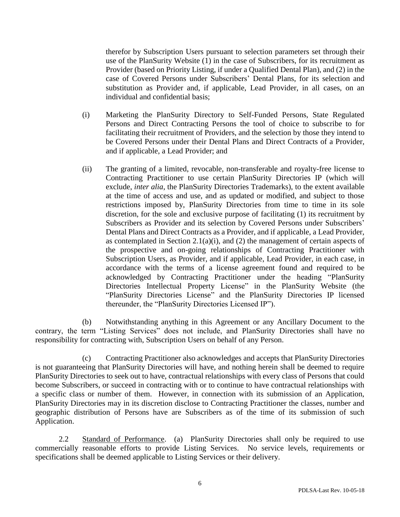therefor by Subscription Users pursuant to selection parameters set through their use of the PlanSurity Website (1) in the case of Subscribers, for its recruitment as Provider (based on Priority Listing, if under a Qualified Dental Plan), and (2) in the case of Covered Persons under Subscribers' Dental Plans, for its selection and substitution as Provider and, if applicable, Lead Provider, in all cases, on an individual and confidential basis;

- (i) Marketing the PlanSurity Directory to Self-Funded Persons, State Regulated Persons and Direct Contracting Persons the tool of choice to subscribe to for facilitating their recruitment of Providers, and the selection by those they intend to be Covered Persons under their Dental Plans and Direct Contracts of a Provider, and if applicable, a Lead Provider; and
- (ii) The granting of a limited, revocable, non-transferable and royalty-free license to Contracting Practitioner to use certain PlanSurity Directories IP (which will exclude, *inter alia*, the PlanSurity Directories Trademarks), to the extent available at the time of access and use, and as updated or modified, and subject to those restrictions imposed by, PlanSurity Directories from time to time in its sole discretion, for the sole and exclusive purpose of facilitating (1) its recruitment by Subscribers as Provider and its selection by Covered Persons under Subscribers' Dental Plans and Direct Contracts as a Provider, and if applicable, a Lead Provider, as contemplated in Section 2.1(a)(i), and (2) the management of certain aspects of the prospective and on-going relationships of Contracting Practitioner with Subscription Users, as Provider, and if applicable, Lead Provider, in each case, in accordance with the terms of a license agreement found and required to be acknowledged by Contracting Practitioner under the heading "PlanSurity Directories Intellectual Property License" in the PlanSurity Website (the "PlanSurity Directories License" and the PlanSurity Directories IP licensed thereunder, the "PlanSurity Directories Licensed IP").

(b) Notwithstanding anything in this Agreement or any Ancillary Document to the contrary, the term "Listing Services" does not include, and PlanSurity Directories shall have no responsibility for contracting with, Subscription Users on behalf of any Person.

(c) Contracting Practitioner also acknowledges and accepts that PlanSurity Directories is not guaranteeing that PlanSurity Directories will have, and nothing herein shall be deemed to require PlanSurity Directories to seek out to have, contractual relationships with every class of Persons that could become Subscribers, or succeed in contracting with or to continue to have contractual relationships with a specific class or number of them. However, in connection with its submission of an Application, PlanSurity Directories may in its discretion disclose to Contracting Practitioner the classes, number and geographic distribution of Persons have are Subscribers as of the time of its submission of such Application.

2.2 Standard of Performance. (a) PlanSurity Directories shall only be required to use commercially reasonable efforts to provide Listing Services. No service levels, requirements or specifications shall be deemed applicable to Listing Services or their delivery.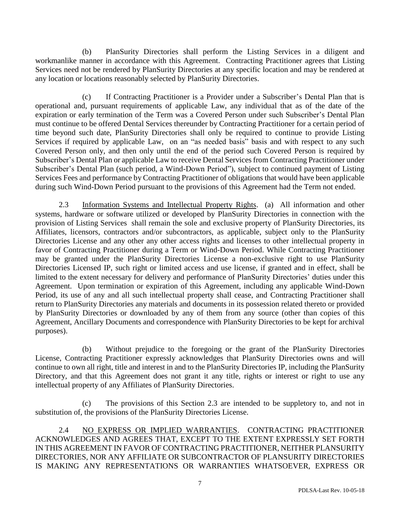(b) PlanSurity Directories shall perform the Listing Services in a diligent and workmanlike manner in accordance with this Agreement. Contracting Practitioner agrees that Listing Services need not be rendered by PlanSurity Directories at any specific location and may be rendered at any location or locations reasonably selected by PlanSurity Directories.

(c) If Contracting Practitioner is a Provider under a Subscriber's Dental Plan that is operational and, pursuant requirements of applicable Law, any individual that as of the date of the expiration or early termination of the Term was a Covered Person under such Subscriber's Dental Plan must continue to be offered Dental Services thereunder by Contracting Practitioner for a certain period of time beyond such date, PlanSurity Directories shall only be required to continue to provide Listing Services if required by applicable Law, on an "as needed basis" basis and with respect to any such Covered Person only, and then only until the end of the period such Covered Person is required by Subscriber's Dental Plan or applicable Law to receive Dental Services from Contracting Practitioner under Subscriber's Dental Plan (such period, a Wind-Down Period"), subject to continued payment of Listing Services Fees and performance by Contracting Practitioner of obligations that would have been applicable during such Wind-Down Period pursuant to the provisions of this Agreement had the Term not ended.

2.3 Information Systems and Intellectual Property Rights. (a) All information and other systems, hardware or software utilized or developed by PlanSurity Directories in connection with the provision of Listing Services shall remain the sole and exclusive property of PlanSurity Directories, its Affiliates, licensors, contractors and/or subcontractors, as applicable, subject only to the PlanSurity Directories License and any other any other access rights and licenses to other intellectual property in favor of Contracting Practitioner during a Term or Wind-Down Period. While Contracting Practitioner may be granted under the PlanSurity Directories License a non-exclusive right to use PlanSurity Directories Licensed IP, such right or limited access and use license, if granted and in effect, shall be limited to the extent necessary for delivery and performance of PlanSurity Directories' duties under this Agreement. Upon termination or expiration of this Agreement, including any applicable Wind-Down Period, its use of any and all such intellectual property shall cease, and Contracting Practitioner shall return to PlanSurity Directories any materials and documents in its possession related thereto or provided by PlanSurity Directories or downloaded by any of them from any source (other than copies of this Agreement, Ancillary Documents and correspondence with PlanSurity Directories to be kept for archival purposes).

(b) Without prejudice to the foregoing or the grant of the PlanSurity Directories License, Contracting Practitioner expressly acknowledges that PlanSurity Directories owns and will continue to own all right, title and interest in and to the PlanSurity Directories IP, including the PlanSurity Directory, and that this Agreement does not grant it any title, rights or interest or right to use any intellectual property of any Affiliates of PlanSurity Directories.

(c) The provisions of this Section 2.3 are intended to be suppletory to, and not in substitution of, the provisions of the PlanSurity Directories License.

2.4 NO EXPRESS OR IMPLIED WARRANTIES. CONTRACTING PRACTITIONER ACKNOWLEDGES AND AGREES THAT, EXCEPT TO THE EXTENT EXPRESSLY SET FORTH IN THIS AGREEMENT IN FAVOR OF CONTRACTING PRACTITIONER, NEITHER PLANSURITY DIRECTORIES, NOR ANY AFFILIATE OR SUBCONTRACTOR OF PLANSURITY DIRECTORIES IS MAKING ANY REPRESENTATIONS OR WARRANTIES WHATSOEVER, EXPRESS OR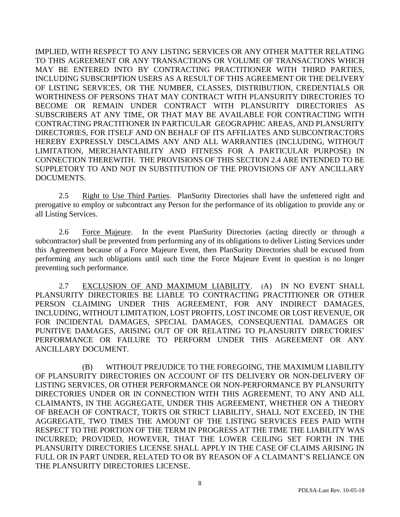IMPLIED, WITH RESPECT TO ANY LISTING SERVICES OR ANY OTHER MATTER RELATING TO THIS AGREEMENT OR ANY TRANSACTIONS OR VOLUME OF TRANSACTIONS WHICH MAY BE ENTERED INTO BY CONTRACTING PRACTITIONER WITH THIRD PARTIES, INCLUDING SUBSCRIPTION USERS AS A RESULT OF THIS AGREEMENT OR THE DELIVERY OF LISTING SERVICES, OR THE NUMBER, CLASSES, DISTRIBUTION, CREDENTIALS OR WORTHINESS OF PERSONS THAT MAY CONTRACT WITH PLANSURITY DIRECTORIES TO BECOME OR REMAIN UNDER CONTRACT WITH PLANSURITY DIRECTORIES AS SUBSCRIBERS AT ANY TIME, OR THAT MAY BE AVAILABLE FOR CONTRACTING WITH CONTRACTING PRACTITIONER IN PARTICULAR GEOGRAPHIC AREAS, AND PLANSURITY DIRECTORIES, FOR ITSELF AND ON BEHALF OF ITS AFFILIATES AND SUBCONTRACTORS HEREBY EXPRESSLY DISCLAIMS ANY AND ALL WARRANTIES (INCLUDING, WITHOUT LIMITATION, MERCHANTABILITY AND FITNESS FOR A PARTICULAR PURPOSE) IN CONNECTION THEREWITH. THE PROVISIONS OF THIS SECTION 2.4 ARE INTENDED TO BE SUPPLETORY TO AND NOT IN SUBSTITUTION OF THE PROVISIONS OF ANY ANCILLARY DOCUMENTS.

2.5 Right to Use Third Parties. PlanSurity Directories shall have the unfettered right and prerogative to employ or subcontract any Person for the performance of its obligation to provide any or all Listing Services.

2.6 Force Majeure. In the event PlanSurity Directories (acting directly or through a subcontractor) shall be prevented from performing any of its obligations to deliver Listing Services under this Agreement because of a Force Majeure Event, then PlanSurity Directories shall be excused from performing any such obligations until such time the Force Majeure Event in question is no longer preventing such performance.

2.7 EXCLUSION OF AND MAXIMUM LIABILITY. (A) IN NO EVENT SHALL PLANSURITY DIRECTORIES BE LIABLE TO CONTRACTING PRACTITIONER OR OTHER PERSON CLAIMING UNDER THIS AGREEMENT, FOR ANY INDIRECT DAMAGES, INCLUDING, WITHOUT LIMITATION, LOST PROFITS, LOST INCOME OR LOST REVENUE, OR FOR INCIDENTAL DAMAGES, SPECIAL DAMAGES, CONSEQUENTIAL DAMAGES OR PUNITIVE DAMAGES, ARISING OUT OF OR RELATING TO PLANSURITY DIRECTORIES' PERFORMANCE OR FAILURE TO PERFORM UNDER THIS AGREEMENT OR ANY ANCILLARY DOCUMENT.

(B) WITHOUT PREJUDICE TO THE FOREGOING, THE MAXIMUM LIABILITY OF PLANSURITY DIRECTORIES ON ACCOUNT OF ITS DELIVERY OR NON-DELIVERY OF LISTING SERVICES, OR OTHER PERFORMANCE OR NON-PERFORMANCE BY PLANSURITY DIRECTORIES UNDER OR IN CONNECTION WITH THIS AGREEMENT, TO ANY AND ALL CLAIMANTS, IN THE AGGREGATE, UNDER THIS AGREEMENT, WHETHER ON A THEORY OF BREACH OF CONTRACT, TORTS OR STRICT LIABILITY, SHALL NOT EXCEED, IN THE AGGREGATE, TWO TIMES THE AMOUNT OF THE LISTING SERVICES FEES PAID WITH RESPECT TO THE PORTION OF THE TERM IN PROGRESS AT THE TIME THE LIABILITY WAS INCURRED; PROVIDED, HOWEVER, THAT THE LOWER CEILING SET FORTH IN THE PLANSURITY DIRECTORIES LICENSE SHALL APPLY IN THE CASE OF CLAIMS ARISING IN FULL OR IN PART UNDER, RELATED TO OR BY REASON OF A CLAIMANT'S RELIANCE ON THE PLANSURITY DIRECTORIES LICENSE.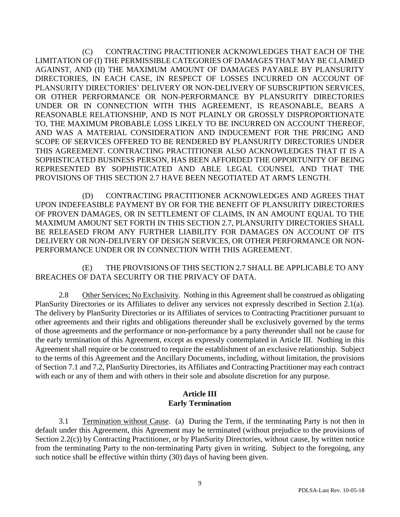(C) CONTRACTING PRACTITIONER ACKNOWLEDGES THAT EACH OF THE LIMITATION OF (I) THE PERMISSIBLE CATEGORIES OF DAMAGES THAT MAY BE CLAIMED AGAINST, AND (II) THE MAXIMUM AMOUNT OF DAMAGES PAYABLE BY PLANSURITY DIRECTORIES, IN EACH CASE, IN RESPECT OF LOSSES INCURRED ON ACCOUNT OF PLANSURITY DIRECTORIES' DELIVERY OR NON-DELIVERY OF SUBSCRIPTION SERVICES, OR OTHER PERFORMANCE OR NON-PERFORMANCE BY PLANSURITY DIRECTORIES UNDER OR IN CONNECTION WITH THIS AGREEMENT, IS REASONABLE, BEARS A REASONABLE RELATIONSHIP, AND IS NOT PLAINLY OR GROSSLY DISPROPORTIONATE TO, THE MAXIMUM PROBABLE LOSS LIKELY TO BE INCURRED ON ACCOUNT THEREOF, AND WAS A MATERIAL CONSIDERATION AND INDUCEMENT FOR THE PRICING AND SCOPE OF SERVICES OFFERED TO BE RENDERED BY PLANSURITY DIRECTORIES UNDER THIS AGREEMENT. CONTRACTING PRACTITIONER ALSO ACKNOWLEDGES THAT IT IS A SOPHISTICATED BUSINESS PERSON, HAS BEEN AFFORDED THE OPPORTUNITY OF BEING REPRESENTED BY SOPHISTICATED AND ABLE LEGAL COUNSEL AND THAT THE PROVISIONS OF THIS SECTION 2.7 HAVE BEEN NEGOTIATED AT ARM'S LENGTH.

(D) CONTRACTING PRACTITIONER ACKNOWLEDGES AND AGREES THAT UPON INDEFEASIBLE PAYMENT BY OR FOR THE BENEFIT OF PLANSURITY DIRECTORIES OF PROVEN DAMAGES, OR IN SETTLEMENT OF CLAIMS, IN AN AMOUNT EQUAL TO THE MAXIMUM AMOUNT SET FORTH IN THIS SECTION 2.7, PLANSURITY DIRECTORIES SHALL BE RELEASED FROM ANY FURTHER LIABILITY FOR DAMAGES ON ACCOUNT OF ITS DELIVERY OR NON-DELIVERY OF DESIGN SERVICES, OR OTHER PERFORMANCE OR NON-PERFORMANCE UNDER OR IN CONNECTION WITH THIS AGREEMENT.

(E) THE PROVISIONS OF THIS SECTION 2.7 SHALL BE APPLICABLE TO ANY BREACHES OF DATA SECURITY OR THE PRIVACY OF DATA.

2.8 Other Services; No Exclusivity. Nothing in this Agreement shall be construed as obligating PlanSurity Directories or its Affiliates to deliver any services not expressly described in Section 2.1(a). The delivery by PlanSurity Directories or its Affiliates of services to Contracting Practitioner pursuant to other agreements and their rights and obligations thereunder shall be exclusively governed by the terms of those agreements and the performance or non-performance by a party thereunder shall not be cause for the early termination of this Agreement, except as expressly contemplated in Article III. Nothing in this Agreement shall require or be construed to require the establishment of an exclusive relationship. Subject to the terms of this Agreement and the Ancillary Documents, including, without limitation, the provisions of Section 7.1 and 7.2, PlanSurity Directories, its Affiliates and Contracting Practitioner may each contract with each or any of them and with others in their sole and absolute discretion for any purpose.

## **Article III Early Termination**

3.1 Termination without Cause. (a) During the Term, if the terminating Party is not then in default under this Agreement, this Agreement may be terminated (without prejudice to the provisions of Section 2.2(c)) by Contracting Practitioner, or by PlanSurity Directories, without cause, by written notice from the terminating Party to the non-terminating Party given in writing. Subject to the foregoing, any such notice shall be effective within thirty (30) days of having been given.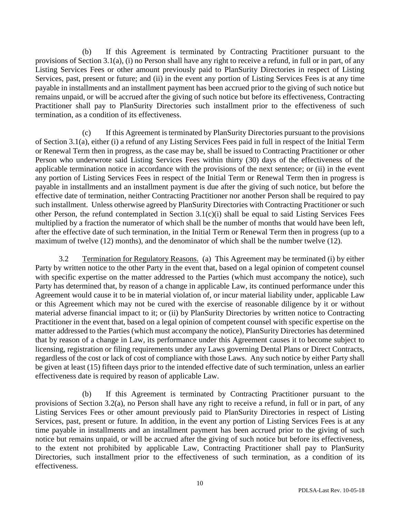(b) If this Agreement is terminated by Contracting Practitioner pursuant to the provisions of Section 3.1(a), (i) no Person shall have any right to receive a refund, in full or in part, of any Listing Services Fees or other amount previously paid to PlanSurity Directories in respect of Listing Services, past, present or future; and (ii) in the event any portion of Listing Services Fees is at any time payable in installments and an installment payment has been accrued prior to the giving of such notice but remains unpaid, or will be accrued after the giving of such notice but before its effectiveness, Contracting Practitioner shall pay to PlanSurity Directories such installment prior to the effectiveness of such termination, as a condition of its effectiveness.

(c) If this Agreement is terminated by PlanSurity Directories pursuant to the provisions of Section 3.1(a), either (i) a refund of any Listing Services Fees paid in full in respect of the Initial Term or Renewal Term then in progress, as the case may be, shall be issued to Contracting Practitioner or other Person who underwrote said Listing Services Fees within thirty (30) days of the effectiveness of the applicable termination notice in accordance with the provisions of the next sentence; or (ii) in the event any portion of Listing Services Fees in respect of the Initial Term or Renewal Term then in progress is payable in installments and an installment payment is due after the giving of such notice, but before the effective date of termination, neither Contracting Practitioner nor another Person shall be required to pay such installment. Unless otherwise agreed by PlanSurity Directories with Contracting Practitioner or such other Person, the refund contemplated in Section 3.1(c)(i) shall be equal to said Listing Services Fees multiplied by a fraction the numerator of which shall be the number of months that would have been left, after the effective date of such termination, in the Initial Term or Renewal Term then in progress (up to a maximum of twelve (12) months), and the denominator of which shall be the number twelve (12).

3.2 Termination for Regulatory Reasons. (a) This Agreement may be terminated (i) by either Party by written notice to the other Party in the event that, based on a legal opinion of competent counsel with specific expertise on the matter addressed to the Parties (which must accompany the notice), such Party has determined that, by reason of a change in applicable Law, its continued performance under this Agreement would cause it to be in material violation of, or incur material liability under, applicable Law or this Agreement which may not be cured with the exercise of reasonable diligence by it or without material adverse financial impact to it; or (ii) by PlanSurity Directories by written notice to Contracting Practitioner in the event that, based on a legal opinion of competent counsel with specific expertise on the matter addressed to the Parties (which must accompany the notice), PlanSurity Directories has determined that by reason of a change in Law, its performance under this Agreement causes it to become subject to licensing, registration or filing requirements under any Laws governing Dental Plans or Direct Contracts, regardless of the cost or lack of cost of compliance with those Laws. Any such notice by either Party shall be given at least (15) fifteen days prior to the intended effective date of such termination, unless an earlier effectiveness date is required by reason of applicable Law.

(b) If this Agreement is terminated by Contracting Practitioner pursuant to the provisions of Section 3.2(a), no Person shall have any right to receive a refund, in full or in part, of any Listing Services Fees or other amount previously paid to PlanSurity Directories in respect of Listing Services, past, present or future. In addition, in the event any portion of Listing Services Fees is at any time payable in installments and an installment payment has been accrued prior to the giving of such notice but remains unpaid, or will be accrued after the giving of such notice but before its effectiveness, to the extent not prohibited by applicable Law, Contracting Practitioner shall pay to PlanSurity Directories, such installment prior to the effectiveness of such termination, as a condition of its effectiveness.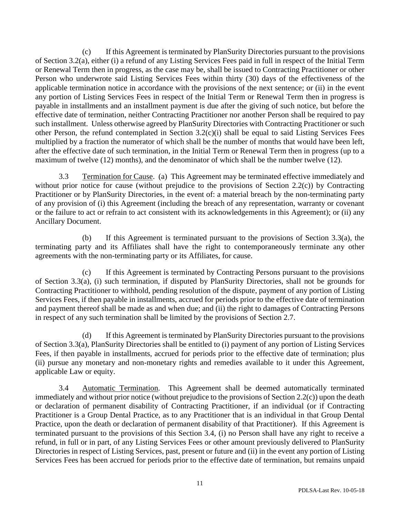(c) If this Agreement is terminated by PlanSurity Directories pursuant to the provisions of Section 3.2(a), either (i) a refund of any Listing Services Fees paid in full in respect of the Initial Term or Renewal Term then in progress, as the case may be, shall be issued to Contracting Practitioner or other Person who underwrote said Listing Services Fees within thirty (30) days of the effectiveness of the applicable termination notice in accordance with the provisions of the next sentence; or (ii) in the event any portion of Listing Services Fees in respect of the Initial Term or Renewal Term then in progress is payable in installments and an installment payment is due after the giving of such notice, but before the effective date of termination, neither Contracting Practitioner nor another Person shall be required to pay such installment. Unless otherwise agreed by PlanSurity Directories with Contracting Practitioner or such other Person, the refund contemplated in Section 3.2(c)(i) shall be equal to said Listing Services Fees multiplied by a fraction the numerator of which shall be the number of months that would have been left, after the effective date of such termination, in the Initial Term or Renewal Term then in progress (up to a maximum of twelve (12) months), and the denominator of which shall be the number twelve (12).

3.3 Termination for Cause. (a) This Agreement may be terminated effective immediately and without prior notice for cause (without prejudice to the provisions of Section 2.2(c)) by Contracting Practitioner or by PlanSurity Directories, in the event of: a material breach by the non-terminating party of any provision of (i) this Agreement (including the breach of any representation, warranty or covenant or the failure to act or refrain to act consistent with its acknowledgements in this Agreement); or (ii) any Ancillary Document.

(b) If this Agreement is terminated pursuant to the provisions of Section 3.3(a), the terminating party and its Affiliates shall have the right to contemporaneously terminate any other agreements with the non-terminating party or its Affiliates, for cause.

(c) If this Agreement is terminated by Contracting Persons pursuant to the provisions of Section 3.3(a), (i) such termination, if disputed by PlanSurity Directories, shall not be grounds for Contracting Practitioner to withhold, pending resolution of the dispute, payment of any portion of Listing Services Fees, if then payable in installments, accrued for periods prior to the effective date of termination and payment thereof shall be made as and when due; and (ii) the right to damages of Contracting Persons in respect of any such termination shall be limited by the provisions of Section 2.7.

(d) If this Agreement is terminated by PlanSurity Directories pursuant to the provisions of Section 3.3(a), PlanSurity Directories shall be entitled to (i) payment of any portion of Listing Services Fees, if then payable in installments, accrued for periods prior to the effective date of termination; plus (ii) pursue any monetary and non-monetary rights and remedies available to it under this Agreement, applicable Law or equity.

3.4 Automatic Termination. This Agreement shall be deemed automatically terminated immediately and without prior notice (without prejudice to the provisions of Section 2.2(c)) upon the death or declaration of permanent disability of Contracting Practitioner, if an individual (or if Contracting Practitioner is a Group Dental Practice, as to any Practitioner that is an individual in that Group Dental Practice, upon the death or declaration of permanent disability of that Practitioner). If this Agreement is terminated pursuant to the provisions of this Section 3.4, (i) no Person shall have any right to receive a refund, in full or in part, of any Listing Services Fees or other amount previously delivered to PlanSurity Directories in respect of Listing Services, past, present or future and (ii) in the event any portion of Listing Services Fees has been accrued for periods prior to the effective date of termination, but remains unpaid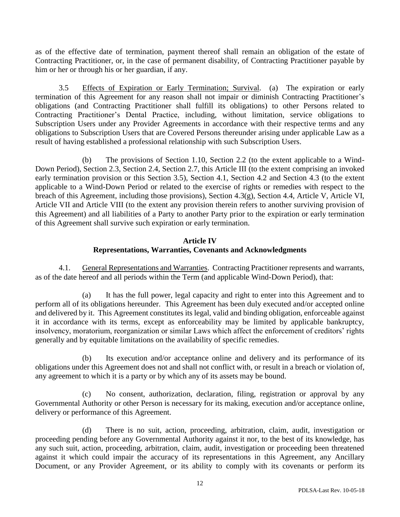as of the effective date of termination, payment thereof shall remain an obligation of the estate of Contracting Practitioner, or, in the case of permanent disability, of Contracting Practitioner payable by him or her or through his or her guardian, if any.

3.5 Effects of Expiration or Early Termination; Survival. (a) The expiration or early termination of this Agreement for any reason shall not impair or diminish Contracting Practitioner's obligations (and Contracting Practitioner shall fulfill its obligations) to other Persons related to Contracting Practitioner's Dental Practice, including, without limitation, service obligations to Subscription Users under any Provider Agreements in accordance with their respective terms and any obligations to Subscription Users that are Covered Persons thereunder arising under applicable Law as a result of having established a professional relationship with such Subscription Users.

(b) The provisions of Section 1.10, Section 2.2 (to the extent applicable to a Wind-Down Period), Section 2.3, Section 2.4, Section 2.7, this Article III (to the extent comprising an invoked early termination provision or this Section 3.5), Section 4.1, Section 4.2 and Section 4.3 (to the extent applicable to a Wind-Down Period or related to the exercise of rights or remedies with respect to the breach of this Agreement, including those provisions), Section 4.3(g), Section 4.4, Article V, Article VI, Article VII and Article VIII (to the extent any provision therein refers to another surviving provision of this Agreement) and all liabilities of a Party to another Party prior to the expiration or early termination of this Agreement shall survive such expiration or early termination.

# **Article IV Representations, Warranties, Covenants and Acknowledgments**

4.1. General Representations and Warranties. Contracting Practitioner represents and warrants, as of the date hereof and all periods within the Term (and applicable Wind-Down Period), that:

(a) It has the full power, legal capacity and right to enter into this Agreement and to perform all of its obligations hereunder. This Agreement has been duly executed and/or accepted online and delivered by it. This Agreement constitutes its legal, valid and binding obligation, enforceable against it in accordance with its terms, except as enforceability may be limited by applicable bankruptcy, insolvency, moratorium, reorganization or similar Laws which affect the enforcement of creditors' rights generally and by equitable limitations on the availability of specific remedies.

(b) Its execution and/or acceptance online and delivery and its performance of its obligations under this Agreement does not and shall not conflict with, or result in a breach or violation of, any agreement to which it is a party or by which any of its assets may be bound.

(c) No consent, authorization, declaration, filing, registration or approval by any Governmental Authority or other Person is necessary for its making, execution and/or acceptance online, delivery or performance of this Agreement.

(d) There is no suit, action, proceeding, arbitration, claim, audit, investigation or proceeding pending before any Governmental Authority against it nor, to the best of its knowledge, has any such suit, action, proceeding, arbitration, claim, audit, investigation or proceeding been threatened against it which could impair the accuracy of its representations in this Agreement, any Ancillary Document, or any Provider Agreement, or its ability to comply with its covenants or perform its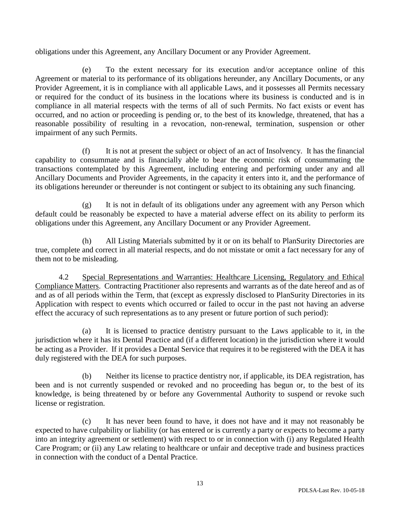obligations under this Agreement, any Ancillary Document or any Provider Agreement.

(e) To the extent necessary for its execution and/or acceptance online of this Agreement or material to its performance of its obligations hereunder, any Ancillary Documents, or any Provider Agreement, it is in compliance with all applicable Laws, and it possesses all Permits necessary or required for the conduct of its business in the locations where its business is conducted and is in compliance in all material respects with the terms of all of such Permits. No fact exists or event has occurred, and no action or proceeding is pending or, to the best of its knowledge, threatened, that has a reasonable possibility of resulting in a revocation, non-renewal, termination, suspension or other impairment of any such Permits.

(f) It is not at present the subject or object of an act of Insolvency. It has the financial capability to consummate and is financially able to bear the economic risk of consummating the transactions contemplated by this Agreement, including entering and performing under any and all Ancillary Documents and Provider Agreements, in the capacity it enters into it, and the performance of its obligations hereunder or thereunder is not contingent or subject to its obtaining any such financing.

(g) It is not in default of its obligations under any agreement with any Person which default could be reasonably be expected to have a material adverse effect on its ability to perform its obligations under this Agreement, any Ancillary Document or any Provider Agreement.

(h) All Listing Materials submitted by it or on its behalf to PlanSurity Directories are true, complete and correct in all material respects, and do not misstate or omit a fact necessary for any of them not to be misleading.

4.2 Special Representations and Warranties: Healthcare Licensing, Regulatory and Ethical Compliance Matters. Contracting Practitioner also represents and warrants as of the date hereof and as of and as of all periods within the Term, that (except as expressly disclosed to PlanSurity Directories in its Application with respect to events which occurred or failed to occur in the past not having an adverse effect the accuracy of such representations as to any present or future portion of such period):

(a) It is licensed to practice dentistry pursuant to the Laws applicable to it, in the jurisdiction where it has its Dental Practice and (if a different location) in the jurisdiction where it would be acting as a Provider. If it provides a Dental Service that requires it to be registered with the DEA it has duly registered with the DEA for such purposes.

(b) Neither its license to practice dentistry nor, if applicable, its DEA registration, has been and is not currently suspended or revoked and no proceeding has begun or, to the best of its knowledge, is being threatened by or before any Governmental Authority to suspend or revoke such license or registration.

(c) It has never been found to have, it does not have and it may not reasonably be expected to have culpability or liability (or has entered or is currently a party or expects to become a party into an integrity agreement or settlement) with respect to or in connection with (i) any Regulated Health Care Program; or (ii) any Law relating to healthcare or unfair and deceptive trade and business practices in connection with the conduct of a Dental Practice.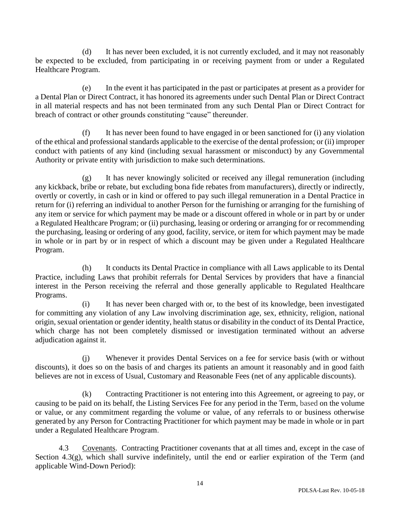(d) It has never been excluded, it is not currently excluded, and it may not reasonably be expected to be excluded, from participating in or receiving payment from or under a Regulated Healthcare Program.

(e) In the event it has participated in the past or participates at present as a provider for a Dental Plan or Direct Contract, it has honored its agreements under such Dental Plan or Direct Contract in all material respects and has not been terminated from any such Dental Plan or Direct Contract for breach of contract or other grounds constituting "cause" thereunder.

(f) It has never been found to have engaged in or been sanctioned for (i) any violation of the ethical and professional standards applicable to the exercise of the dental profession; or (ii) improper conduct with patients of any kind (including sexual harassment or misconduct) by any Governmental Authority or private entity with jurisdiction to make such determinations.

(g) It has never knowingly solicited or received any illegal remuneration (including any kickback, bribe or rebate, but excluding bona fide rebates from manufacturers), directly or indirectly, overtly or covertly, in cash or in kind or offered to pay such illegal remuneration in a Dental Practice in return for (i) referring an individual to another Person for the furnishing or arranging for the furnishing of any item or service for which payment may be made or a discount offered in whole or in part by or under a Regulated Healthcare Program; or (ii) purchasing, leasing or ordering or arranging for or recommending the purchasing, leasing or ordering of any good, facility, service, or item for which payment may be made in whole or in part by or in respect of which a discount may be given under a Regulated Healthcare Program.

(h) It conducts its Dental Practice in compliance with all Laws applicable to its Dental Practice, including Laws that prohibit referrals for Dental Services by providers that have a financial interest in the Person receiving the referral and those generally applicable to Regulated Healthcare Programs.

(i) It has never been charged with or, to the best of its knowledge, been investigated for committing any violation of any Law involving discrimination age, sex, ethnicity, religion, national origin, sexual orientation or gender identity, health status or disability in the conduct of its Dental Practice, which charge has not been completely dismissed or investigation terminated without an adverse adjudication against it.

(j) Whenever it provides Dental Services on a fee for service basis (with or without discounts), it does so on the basis of and charges its patients an amount it reasonably and in good faith believes are not in excess of Usual, Customary and Reasonable Fees (net of any applicable discounts).

(k) Contracting Practitioner is not entering into this Agreement, or agreeing to pay, or causing to be paid on its behalf, the Listing Services Fee for any period in the Term, based on the volume or value, or any commitment regarding the volume or value, of any referrals to or business otherwise generated by any Person for Contracting Practitioner for which payment may be made in whole or in part under a Regulated Healthcare Program.

4.3 Covenants. Contracting Practitioner covenants that at all times and, except in the case of Section 4.3(g), which shall survive indefinitely, until the end or earlier expiration of the Term (and applicable Wind-Down Period):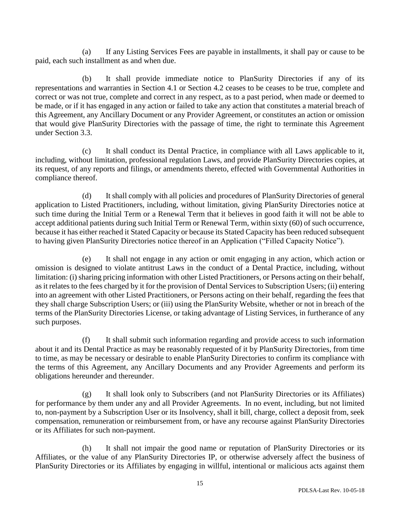(a) If any Listing Services Fees are payable in installments, it shall pay or cause to be paid, each such installment as and when due.

(b) It shall provide immediate notice to PlanSurity Directories if any of its representations and warranties in Section 4.1 or Section 4.2 ceases to be ceases to be true, complete and correct or was not true, complete and correct in any respect, as to a past period, when made or deemed to be made, or if it has engaged in any action or failed to take any action that constitutes a material breach of this Agreement, any Ancillary Document or any Provider Agreement, or constitutes an action or omission that would give PlanSurity Directories with the passage of time, the right to terminate this Agreement under Section 3.3.

(c) It shall conduct its Dental Practice, in compliance with all Laws applicable to it, including, without limitation, professional regulation Laws, and provide PlanSurity Directories copies, at its request, of any reports and filings, or amendments thereto, effected with Governmental Authorities in compliance thereof.

(d) It shall comply with all policies and procedures of PlanSurity Directories of general application to Listed Practitioners, including, without limitation, giving PlanSurity Directories notice at such time during the Initial Term or a Renewal Term that it believes in good faith it will not be able to accept additional patients during such Initial Term or Renewal Term, within sixty (60) of such occurrence, because it has either reached it Stated Capacity or because its Stated Capacity has been reduced subsequent to having given PlanSurity Directories notice thereof in an Application ("Filled Capacity Notice").

(e) It shall not engage in any action or omit engaging in any action, which action or omission is designed to violate antitrust Laws in the conduct of a Dental Practice, including, without limitation: (i) sharing pricing information with other Listed Practitioners, or Persons acting on their behalf, as it relates to the fees charged by it for the provision of Dental Services to Subscription Users; (ii) entering into an agreement with other Listed Practitioners, or Persons acting on their behalf, regarding the fees that they shall charge Subscription Users; or (iii) using the PlanSurity Website, whether or not in breach of the terms of the PlanSurity Directories License, or taking advantage of Listing Services, in furtherance of any such purposes.

(f) It shall submit such information regarding and provide access to such information about it and its Dental Practice as may be reasonably requested of it by PlanSurity Directories, from time to time, as may be necessary or desirable to enable PlanSurity Directories to confirm its compliance with the terms of this Agreement, any Ancillary Documents and any Provider Agreements and perform its obligations hereunder and thereunder.

(g) It shall look only to Subscribers (and not PlanSurity Directories or its Affiliates) for performance by them under any and all Provider Agreements. In no event, including, but not limited to, non-payment by a Subscription User or its Insolvency, shall it bill, charge, collect a deposit from, seek compensation, remuneration or reimbursement from, or have any recourse against PlanSurity Directories or its Affiliates for such non-payment.

(h) It shall not impair the good name or reputation of PlanSurity Directories or its Affiliates, or the value of any PlanSurity Directories IP, or otherwise adversely affect the business of PlanSurity Directories or its Affiliates by engaging in willful, intentional or malicious acts against them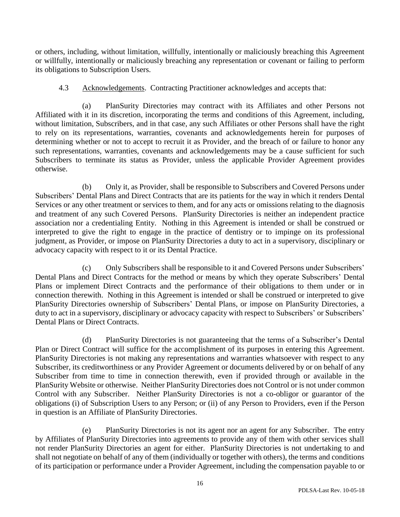or others, including, without limitation, willfully, intentionally or maliciously breaching this Agreement or willfully, intentionally or maliciously breaching any representation or covenant or failing to perform its obligations to Subscription Users.

4.3 Acknowledgements. Contracting Practitioner acknowledges and accepts that:

(a) PlanSurity Directories may contract with its Affiliates and other Persons not Affiliated with it in its discretion, incorporating the terms and conditions of this Agreement, including, without limitation, Subscribers, and in that case, any such Affiliates or other Persons shall have the right to rely on its representations, warranties, covenants and acknowledgements herein for purposes of determining whether or not to accept to recruit it as Provider, and the breach of or failure to honor any such representations, warranties, covenants and acknowledgements may be a cause sufficient for such Subscribers to terminate its status as Provider, unless the applicable Provider Agreement provides otherwise.

(b) Only it, as Provider, shall be responsible to Subscribers and Covered Persons under Subscribers' Dental Plans and Direct Contracts that are its patients for the way in which it renders Dental Services or any other treatment or services to them, and for any acts or omissions relating to the diagnosis and treatment of any such Covered Persons. PlanSurity Directories is neither an independent practice association nor a credentialing Entity. Nothing in this Agreement is intended or shall be construed or interpreted to give the right to engage in the practice of dentistry or to impinge on its professional judgment, as Provider, or impose on PlanSurity Directories a duty to act in a supervisory, disciplinary or advocacy capacity with respect to it or its Dental Practice.

(c) Only Subscribers shall be responsible to it and Covered Persons under Subscribers' Dental Plans and Direct Contracts for the method or means by which they operate Subscribers' Dental Plans or implement Direct Contracts and the performance of their obligations to them under or in connection therewith. Nothing in this Agreement is intended or shall be construed or interpreted to give PlanSurity Directories ownership of Subscribers' Dental Plans, or impose on PlanSurity Directories, a duty to act in a supervisory, disciplinary or advocacy capacity with respect to Subscribers' or Subscribers' Dental Plans or Direct Contracts.

(d) PlanSurity Directories is not guaranteeing that the terms of a Subscriber's Dental Plan or Direct Contract will suffice for the accomplishment of its purposes in entering this Agreement. PlanSurity Directories is not making any representations and warranties whatsoever with respect to any Subscriber, its creditworthiness or any Provider Agreement or documents delivered by or on behalf of any Subscriber from time to time in connection therewith, even if provided through or available in the PlanSurity Website or otherwise. Neither PlanSurity Directories does not Control or is not under common Control with any Subscriber. Neither PlanSurity Directories is not a co-obligor or guarantor of the obligations (i) of Subscription Users to any Person; or (ii) of any Person to Providers, even if the Person in question is an Affiliate of PlanSurity Directories.

(e) PlanSurity Directories is not its agent nor an agent for any Subscriber. The entry by Affiliates of PlanSurity Directories into agreements to provide any of them with other services shall not render PlanSurity Directories an agent for either. PlanSurity Directories is not undertaking to and shall not negotiate on behalf of any of them (individually or together with others), the terms and conditions of its participation or performance under a Provider Agreement, including the compensation payable to or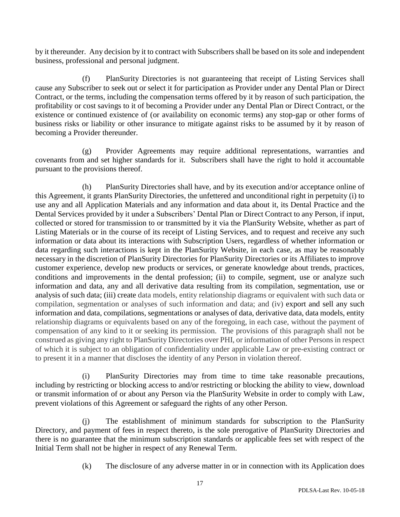by it thereunder. Any decision by it to contract with Subscribers shall be based on its sole and independent business, professional and personal judgment.

(f) PlanSurity Directories is not guaranteeing that receipt of Listing Services shall cause any Subscriber to seek out or select it for participation as Provider under any Dental Plan or Direct Contract, or the terms, including the compensation terms offered by it by reason of such participation, the profitability or cost savings to it of becoming a Provider under any Dental Plan or Direct Contract, or the existence or continued existence of (or availability on economic terms) any stop-gap or other forms of business risks or liability or other insurance to mitigate against risks to be assumed by it by reason of becoming a Provider thereunder.

(g) Provider Agreements may require additional representations, warranties and covenants from and set higher standards for it. Subscribers shall have the right to hold it accountable pursuant to the provisions thereof.

(h) PlanSurity Directories shall have, and by its execution and/or acceptance online of this Agreement, it grants PlanSurity Directories, the unfettered and unconditional right in perpetuity (i) to use any and all Application Materials and any information and data about it, its Dental Practice and the Dental Services provided by it under a Subscribers' Dental Plan or Direct Contract to any Person, if input, collected or stored for transmission to or transmitted by it via the PlanSurity Website, whether as part of Listing Materials or in the course of its receipt of Listing Services, and to request and receive any such information or data about its interactions with Subscription Users, regardless of whether information or data regarding such interactions is kept in the PlanSurity Website, in each case, as may be reasonably necessary in the discretion of PlanSurity Directories for PlanSurity Directories or its Affiliates to improve customer experience, develop new products or services, or generate knowledge about trends, practices, conditions and improvements in the dental profession; (ii) to compile, segment, use or analyze such information and data, any and all derivative data resulting from its compilation, segmentation, use or analysis of such data; (iii) create data models, entity relationship diagrams or equivalent with such data or compilation, segmentation or analyses of such information and data; and (iv) export and sell any such information and data, compilations, segmentations or analyses of data, derivative data, data models, entity relationship diagrams or equivalents based on any of the foregoing, in each case, without the payment of compensation of any kind to it or seeking its permission. The provisions of this paragraph shall not be construed as giving any right to PlanSurity Directories over PHI, or information of other Persons in respect of which it is subject to an obligation of confidentiality under applicable Law or pre-existing contract or to present it in a manner that discloses the identity of any Person in violation thereof.

(i) PlanSurity Directories may from time to time take reasonable precautions, including by restricting or blocking access to and/or restricting or blocking the ability to view, download or transmit information of or about any Person via the PlanSurity Website in order to comply with Law, prevent violations of this Agreement or safeguard the rights of any other Person.

(j) The establishment of minimum standards for subscription to the PlanSurity Directory, and payment of fees in respect thereto, is the sole prerogative of PlanSurity Directories and there is no guarantee that the minimum subscription standards or applicable fees set with respect of the Initial Term shall not be higher in respect of any Renewal Term.

(k) The disclosure of any adverse matter in or in connection with its Application does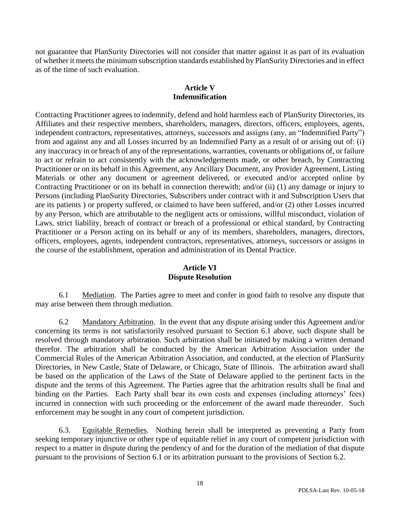not guarantee that PlanSurity Directories will not consider that matter against it as part of its evaluation of whether it meets the minimum subscription standards established by PlanSurity Directories and in effect as of the time of such evaluation.

## **Article V Indemnification**

Contracting Practitioner agrees to indemnify, defend and hold harmless each of PlanSurity Directories, its Affiliates and their respective members, shareholders, managers, directors, officers, employees, agents, independent contractors, representatives, attorneys, successors and assigns (any, an "Indemnified Party") from and against any and all Losses incurred by an Indemnified Party as a result of or arising out of: (i) any inaccuracy in or breach of any of the representations, warranties, covenants or obligations of, or failure to act or refrain to act consistently with the acknowledgements made, or other breach, by Contracting Practitioner or on its behalf in this Agreement, any Ancillary Document, any Provider Agreement, Listing Materials or other any document or agreement delivered, or executed and/or accepted online by Contracting Practitioner or on its behalf in connection therewith; and/or (ii) (1) any damage or injury to Persons (including PlanSurity Directories, Subscribers under contract with it and Subscription Users that are its patients ) or property suffered, or claimed to have been suffered, and/or (2) other Losses incurred by any Person, which are attributable to the negligent acts or omissions, willful misconduct, violation of Laws, strict liability, breach of contract or breach of a professional or ethical standard, by Contracting Practitioner or a Person acting on its behalf or any of its members, shareholders, managers, directors, officers, employees, agents, independent contractors, representatives, attorneys, successors or assigns in the course of the establishment, operation and administration of its Dental Practice.

## **Article VI Dispute Resolution**

6.1 Mediation. The Parties agree to meet and confer in good faith to resolve any dispute that may arise between them through mediation.

6.2 Mandatory Arbitration. In the event that any dispute arising under this Agreement and/or concerning its terms is not satisfactorily resolved pursuant to Section 6.1 above, such dispute shall be resolved through mandatory arbitration. Such arbitration shall be initiated by making a written demand therefor. The arbitration shall be conducted by the American Arbitration Association under the Commercial Rules of the American Arbitration Association, and conducted, at the election of PlanSurity Directories, in New Castle, State of Delaware, or Chicago, State of Illinois. The arbitration award shall be based on the application of the Laws of the State of Delaware applied to the pertinent facts in the dispute and the terms of this Agreement. The Parties agree that the arbitration results shall be final and binding on the Parties. Each Party shall bear its own costs and expenses (including attorneys' fees) incurred in connection with such proceeding or the enforcement of the award made thereunder. Such enforcement may be sought in any court of competent jurisdiction.

6.3. Equitable Remedies. Nothing herein shall be interpreted as preventing a Party from seeking temporary injunctive or other type of equitable relief in any court of competent jurisdiction with respect to a matter in dispute during the pendency of and for the duration of the mediation of that dispute pursuant to the provisions of Section 6.1 or its arbitration pursuant to the provisions of Section 6.2.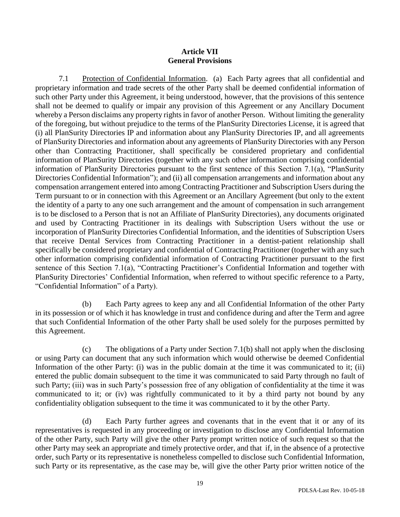### **Article VII General Provisions**

7.1 Protection of Confidential Information. (a) Each Party agrees that all confidential and proprietary information and trade secrets of the other Party shall be deemed confidential information of such other Party under this Agreement, it being understood, however, that the provisions of this sentence shall not be deemed to qualify or impair any provision of this Agreement or any Ancillary Document whereby a Person disclaims any property rights in favor of another Person. Without limiting the generality of the foregoing, but without prejudice to the terms of the PlanSurity Directories License, it is agreed that (i) all PlanSurity Directories IP and information about any PlanSurity Directories IP, and all agreements of PlanSurity Directories and information about any agreements of PlanSurity Directories with any Person other than Contracting Practitioner, shall specifically be considered proprietary and confidential information of PlanSurity Directories (together with any such other information comprising confidential information of PlanSurity Directories pursuant to the first sentence of this Section 7.1(a), "PlanSurity Directories Confidential Information"); and (ii) all compensation arrangements and information about any compensation arrangement entered into among Contracting Practitioner and Subscription Users during the Term pursuant to or in connection with this Agreement or an Ancillary Agreement (but only to the extent the identity of a party to any one such arrangement and the amount of compensation in such arrangement is to be disclosed to a Person that is not an Affiliate of PlanSurity Directories), any documents originated and used by Contracting Practitioner in its dealings with Subscription Users without the use or incorporation of PlanSurity Directories Confidential Information, and the identities of Subscription Users that receive Dental Services from Contracting Practitioner in a dentist-patient relationship shall specifically be considered proprietary and confidential of Contracting Practitioner (together with any such other information comprising confidential information of Contracting Practitioner pursuant to the first sentence of this Section 7.1(a), "Contracting Practitioner's Confidential Information and together with PlanSurity Directories' Confidential Information, when referred to without specific reference to a Party, "Confidential Information" of a Party).

(b) Each Party agrees to keep any and all Confidential Information of the other Party in its possession or of which it has knowledge in trust and confidence during and after the Term and agree that such Confidential Information of the other Party shall be used solely for the purposes permitted by this Agreement.

(c) The obligations of a Party under Section 7.1(b) shall not apply when the disclosing or using Party can document that any such information which would otherwise be deemed Confidential Information of the other Party: (i) was in the public domain at the time it was communicated to it; (ii) entered the public domain subsequent to the time it was communicated to said Party through no fault of such Party; (iii) was in such Party's possession free of any obligation of confidentiality at the time it was communicated to it; or (iv) was rightfully communicated to it by a third party not bound by any confidentiality obligation subsequent to the time it was communicated to it by the other Party.

(d) Each Party further agrees and covenants that in the event that it or any of its representatives is requested in any proceeding or investigation to disclose any Confidential Information of the other Party, such Party will give the other Party prompt written notice of such request so that the other Party may seek an appropriate and timely protective order, and that if, in the absence of a protective order, such Party or its representative is nonetheless compelled to disclose such Confidential Information, such Party or its representative, as the case may be, will give the other Party prior written notice of the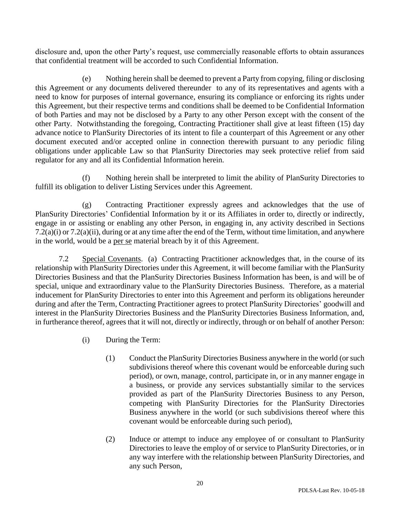disclosure and, upon the other Party's request, use commercially reasonable efforts to obtain assurances that confidential treatment will be accorded to such Confidential Information.

(e) Nothing herein shall be deemed to prevent a Party from copying, filing or disclosing this Agreement or any documents delivered thereunder to any of its representatives and agents with a need to know for purposes of internal governance, ensuring its compliance or enforcing its rights under this Agreement, but their respective terms and conditions shall be deemed to be Confidential Information of both Parties and may not be disclosed by a Party to any other Person except with the consent of the other Party. Notwithstanding the foregoing, Contracting Practitioner shall give at least fifteen (15) day advance notice to PlanSurity Directories of its intent to file a counterpart of this Agreement or any other document executed and/or accepted online in connection therewith pursuant to any periodic filing obligations under applicable Law so that PlanSurity Directories may seek protective relief from said regulator for any and all its Confidential Information herein.

(f) Nothing herein shall be interpreted to limit the ability of PlanSurity Directories to fulfill its obligation to deliver Listing Services under this Agreement.

(g) Contracting Practitioner expressly agrees and acknowledges that the use of PlanSurity Directories' Confidential Information by it or its Affiliates in order to, directly or indirectly, engage in or assisting or enabling any other Person, in engaging in, any activity described in Sections  $7.2(a)(i)$  or  $7.2(a)(ii)$ , during or at any time after the end of the Term, without time limitation, and anywhere in the world, would be a per se material breach by it of this Agreement.

7.2 Special Covenants. (a) Contracting Practitioner acknowledges that, in the course of its relationship with PlanSurity Directories under this Agreement, it will become familiar with the PlanSurity Directories Business and that the PlanSurity Directories Business Information has been, is and will be of special, unique and extraordinary value to the PlanSurity Directories Business. Therefore, as a material inducement for PlanSurity Directories to enter into this Agreement and perform its obligations hereunder during and after the Term, Contracting Practitioner agrees to protect PlanSurity Directories' goodwill and interest in the PlanSurity Directories Business and the PlanSurity Directories Business Information, and, in furtherance thereof, agrees that it will not, directly or indirectly, through or on behalf of another Person:

- (i) During the Term:
	- (1) Conduct the PlanSurity Directories Business anywhere in the world (or such subdivisions thereof where this covenant would be enforceable during such period), or own, manage, control, participate in, or in any manner engage in a business, or provide any services substantially similar to the services provided as part of the PlanSurity Directories Business to any Person, competing with PlanSurity Directories for the PlanSurity Directories Business anywhere in the world (or such subdivisions thereof where this covenant would be enforceable during such period),
	- (2) Induce or attempt to induce any employee of or consultant to PlanSurity Directories to leave the employ of or service to PlanSurity Directories, or in any way interfere with the relationship between PlanSurity Directories, and any such Person,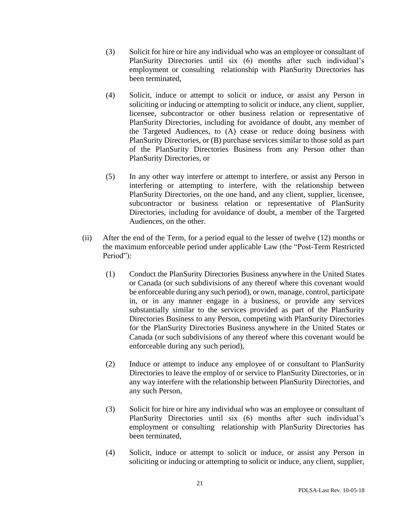- (3) Solicit for hire or hire any individual who was an employee or consultant of PlanSurity Directories until six (6) months after such individual's employment or consulting relationship with PlanSurity Directories has been terminated,
- (4) Solicit, induce or attempt to solicit or induce, or assist any Person in soliciting or inducing or attempting to solicit or induce, any client, supplier, licensee, subcontractor or other business relation or representative of PlanSurity Directories, including for avoidance of doubt, any member of the Targeted Audiences, to (A) cease or reduce doing business with PlanSurity Directories, or (B) purchase services similar to those sold as part of the PlanSurity Directories Business from any Person other than PlanSurity Directories, or
- (5) In any other way interfere or attempt to interfere, or assist any Person in interfering or attempting to interfere, with the relationship between PlanSurity Directories, on the one hand, and any client, supplier, licensee, subcontractor or business relation or representative of PlanSurity Directories, including for avoidance of doubt, a member of the Targeted Audiences, on the other.
- (ii) After the end of the Term, for a period equal to the lesser of twelve (12) months or the maximum enforceable period under applicable Law (the "Post-Term Restricted Period"):
	- (1) Conduct the PlanSurity Directories Business anywhere in the United States or Canada (or such subdivisions of any thereof where this covenant would be enforceable during any such period), or own, manage, control, participate in, or in any manner engage in a business, or provide any services substantially similar to the services provided as part of the PlanSurity Directories Business to any Person, competing with PlanSurity Directories for the PlanSurity Directories Business anywhere in the United States or Canada (or such subdivisions of any thereof where this covenant would be enforceable during any such period),
	- (2) Induce or attempt to induce any employee of or consultant to PlanSurity Directories to leave the employ of or service to PlanSurity Directories, or in any way interfere with the relationship between PlanSurity Directories, and any such Person,
	- (3) Solicit for hire or hire any individual who was an employee or consultant of PlanSurity Directories until six (6) months after such individual's employment or consulting relationship with PlanSurity Directories has been terminated,
	- (4) Solicit, induce or attempt to solicit or induce, or assist any Person in soliciting or inducing or attempting to solicit or induce, any client, supplier,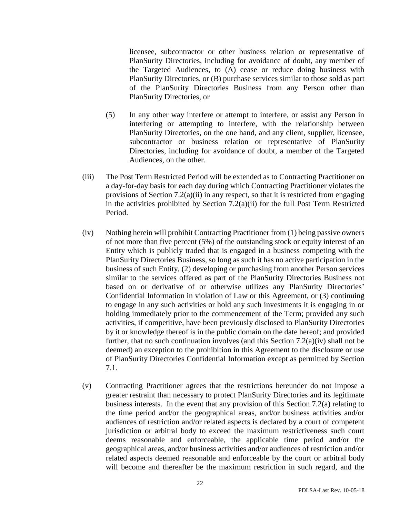licensee, subcontractor or other business relation or representative of PlanSurity Directories, including for avoidance of doubt, any member of the Targeted Audiences, to (A) cease or reduce doing business with PlanSurity Directories, or (B) purchase services similar to those sold as part of the PlanSurity Directories Business from any Person other than PlanSurity Directories, or

- (5) In any other way interfere or attempt to interfere, or assist any Person in interfering or attempting to interfere, with the relationship between PlanSurity Directories, on the one hand, and any client, supplier, licensee, subcontractor or business relation or representative of PlanSurity Directories, including for avoidance of doubt, a member of the Targeted Audiences, on the other.
- (iii) The Post Term Restricted Period will be extended as to Contracting Practitioner on a day-for-day basis for each day during which Contracting Practitioner violates the provisions of Section 7.2(a)(ii) in any respect, so that it is restricted from engaging in the activities prohibited by Section 7.2(a)(ii) for the full Post Term Restricted Period.
- (iv) Nothing herein will prohibit Contracting Practitioner from (1) being passive owners of not more than five percent (5%) of the outstanding stock or equity interest of an Entity which is publicly traded that is engaged in a business competing with the PlanSurity Directories Business, so long as such it has no active participation in the business of such Entity, (2) developing or purchasing from another Person services similar to the services offered as part of the PlanSurity Directories Business not based on or derivative of or otherwise utilizes any PlanSurity Directories' Confidential Information in violation of Law or this Agreement, or (3) continuing to engage in any such activities or hold any such investments it is engaging in or holding immediately prior to the commencement of the Term; provided any such activities, if competitive, have been previously disclosed to PlanSurity Directories by it or knowledge thereof is in the public domain on the date hereof; and provided further, that no such continuation involves (and this Section 7.2(a)(iv) shall not be deemed) an exception to the prohibition in this Agreement to the disclosure or use of PlanSurity Directories Confidential Information except as permitted by Section 7.1.
- (v) Contracting Practitioner agrees that the restrictions hereunder do not impose a greater restraint than necessary to protect PlanSurity Directories and its legitimate business interests. In the event that any provision of this Section 7.2(a) relating to the time period and/or the geographical areas, and/or business activities and/or audiences of restriction and/or related aspects is declared by a court of competent jurisdiction or arbitral body to exceed the maximum restrictiveness such court deems reasonable and enforceable, the applicable time period and/or the geographical areas, and/or business activities and/or audiences of restriction and/or related aspects deemed reasonable and enforceable by the court or arbitral body will become and thereafter be the maximum restriction in such regard, and the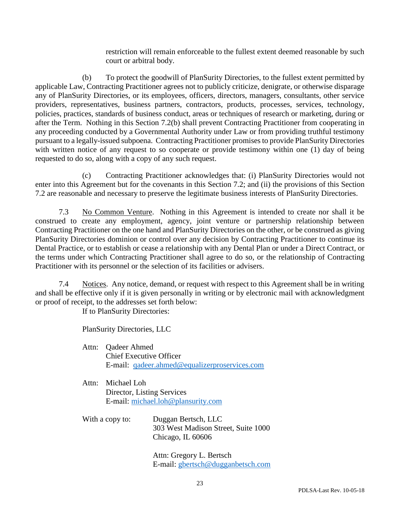restriction will remain enforceable to the fullest extent deemed reasonable by such court or arbitral body.

(b) To protect the goodwill of PlanSurity Directories, to the fullest extent permitted by applicable Law, Contracting Practitioner agrees not to publicly criticize, denigrate, or otherwise disparage any of PlanSurity Directories, or its employees, officers, directors, managers, consultants, other service providers, representatives, business partners, contractors, products, processes, services, technology, policies, practices, standards of business conduct, areas or techniques of research or marketing, during or after the Term. Nothing in this Section 7.2(b) shall prevent Contracting Practitioner from cooperating in any proceeding conducted by a Governmental Authority under Law or from providing truthful testimony pursuant to a legally-issued subpoena. Contracting Practitioner promises to provide PlanSurity Directories with written notice of any request to so cooperate or provide testimony within one (1) day of being requested to do so, along with a copy of any such request.

(c) Contracting Practitioner acknowledges that: (i) PlanSurity Directories would not enter into this Agreement but for the covenants in this Section 7.2; and (ii) the provisions of this Section 7.2 are reasonable and necessary to preserve the legitimate business interests of PlanSurity Directories.

7.3 No Common Venture. Nothing in this Agreement is intended to create nor shall it be construed to create any employment, agency, joint venture or partnership relationship between Contracting Practitioner on the one hand and PlanSurity Directories on the other, or be construed as giving PlanSurity Directories dominion or control over any decision by Contracting Practitioner to continue its Dental Practice, or to establish or cease a relationship with any Dental Plan or under a Direct Contract, or the terms under which Contracting Practitioner shall agree to do so, or the relationship of Contracting Practitioner with its personnel or the selection of its facilities or advisers.

7.4 Notices. Any notice, demand, or request with respect to this Agreement shall be in writing and shall be effective only if it is given personally in writing or by electronic mail with acknowledgment or proof of receipt, to the addresses set forth below:

If to PlanSurity Directories:

PlanSurity Directories, LLC

- Attn: Qadeer Ahmed Chief Executive Officer E-mail: [qadeer.ahmed@equalizerproservices.com](mailto:qadeer.ahmed@equalizerproservices.com)
- Attn: Michael Loh Director, Listing Services E-mail: [michael.loh@plansurity.com](mailto:michael.loh@plansurity.com)
- With a copy to: Duggan Bertsch, LLC 303 West Madison Street, Suite 1000 Chicago, IL 60606

Attn: Gregory L. Bertsch E-mail: [gbertsch@dugganbetsch.com](mailto:gbertsch@dugganbetsch.com)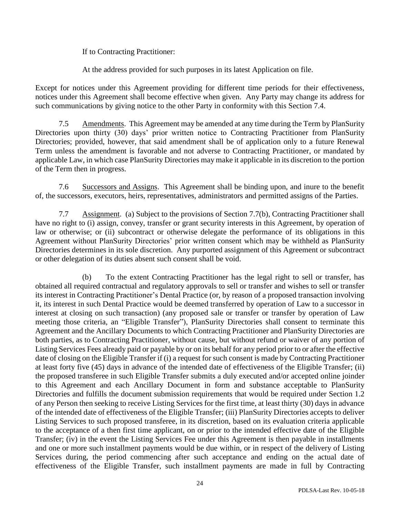If to Contracting Practitioner:

At the address provided for such purposes in its latest Application on file.

Except for notices under this Agreement providing for different time periods for their effectiveness, notices under this Agreement shall become effective when given. Any Party may change its address for such communications by giving notice to the other Party in conformity with this Section 7.4.

7.5 Amendments. This Agreement may be amended at any time during the Term by PlanSurity Directories upon thirty (30) days' prior written notice to Contracting Practitioner from PlanSurity Directories; provided, however, that said amendment shall be of application only to a future Renewal Term unless the amendment is favorable and not adverse to Contracting Practitioner, or mandated by applicable Law, in which case PlanSurity Directories may make it applicable in its discretion to the portion of the Term then in progress.

7.6 Successors and Assigns. This Agreement shall be binding upon, and inure to the benefit of, the successors, executors, heirs, representatives, administrators and permitted assigns of the Parties.

7.7 Assignment. (a) Subject to the provisions of Section 7.7(b), Contracting Practitioner shall have no right to (i) assign, convey, transfer or grant security interests in this Agreement, by operation of law or otherwise; or (ii) subcontract or otherwise delegate the performance of its obligations in this Agreement without PlanSurity Directories' prior written consent which may be withheld as PlanSurity Directories determines in its sole discretion. Any purported assignment of this Agreement or subcontract or other delegation of its duties absent such consent shall be void.

(b) To the extent Contracting Practitioner has the legal right to sell or transfer, has obtained all required contractual and regulatory approvals to sell or transfer and wishes to sell or transfer its interest in Contracting Practitioner's Dental Practice (or, by reason of a proposed transaction involving it, its interest in such Dental Practice would be deemed transferred by operation of Law to a successor in interest at closing on such transaction) (any proposed sale or transfer or transfer by operation of Law meeting those criteria, an "Eligible Transfer"), PlanSurity Directories shall consent to terminate this Agreement and the Ancillary Documents to which Contracting Practitioner and PlanSurity Directories are both parties, as to Contracting Practitioner, without cause, but without refund or waiver of any portion of Listing Services Fees already paid or payable by or on its behalf for any period prior to or after the effective date of closing on the Eligible Transfer if (i) a request for such consent is made by Contracting Practitioner at least forty five (45) days in advance of the intended date of effectiveness of the Eligible Transfer; (ii) the proposed transferee in such Eligible Transfer submits a duly executed and/or accepted online joinder to this Agreement and each Ancillary Document in form and substance acceptable to PlanSurity Directories and fulfills the document submission requirements that would be required under Section 1.2 of any Person then seeking to receive Listing Services for the first time, at least thirty (30) days in advance of the intended date of effectiveness of the Eligible Transfer; (iii) PlanSurity Directories accepts to deliver Listing Services to such proposed transferee, in its discretion, based on its evaluation criteria applicable to the acceptance of a then first time applicant, on or prior to the intended effective date of the Eligible Transfer; (iv) in the event the Listing Services Fee under this Agreement is then payable in installments and one or more such installment payments would be due within, or in respect of the delivery of Listing Services during, the period commencing after such acceptance and ending on the actual date of effectiveness of the Eligible Transfer, such installment payments are made in full by Contracting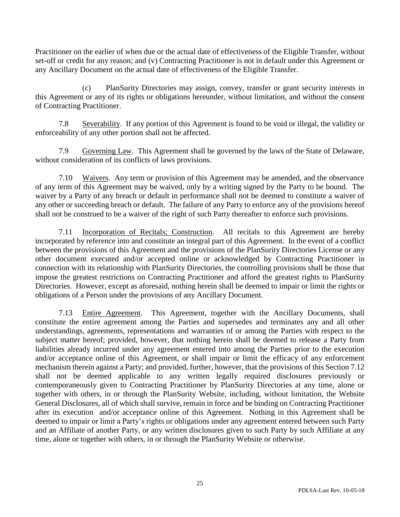Practitioner on the earlier of when due or the actual date of effectiveness of the Eligible Transfer, without set-off or credit for any reason; and (v) Contracting Practitioner is not in default under this Agreement or any Ancillary Document on the actual date of effectiveness of the Eligible Transfer.

(c) PlanSurity Directories may assign, convey, transfer or grant security interests in this Agreement or any of its rights or obligations hereunder, without limitation, and without the consent of Contracting Practitioner.

7.8 Severability. If any portion of this Agreement is found to be void or illegal, the validity or enforceability of any other portion shall not be affected.

7.9 Governing Law. This Agreement shall be governed by the laws of the State of Delaware, without consideration of its conflicts of laws provisions.

7.10 Waivers. Any term or provision of this Agreement may be amended, and the observance of any term of this Agreement may be waived, only by a writing signed by the Party to be bound. The waiver by a Party of any breach or default in performance shall not be deemed to constitute a waiver of any other or succeeding breach or default. The failure of any Party to enforce any of the provisions hereof shall not be construed to be a waiver of the right of such Party thereafter to enforce such provisions.

7.11 Incorporation of Recitals; Construction. All recitals to this Agreement are hereby incorporated by reference into and constitute an integral part of this Agreement. In the event of a conflict between the provisions of this Agreement and the provisions of the PlanSurity Directories License or any other document executed and/or accepted online or acknowledged by Contracting Practitioner in connection with its relationship with PlanSurity Directories, the controlling provisions shall be those that impose the greatest restrictions on Contracting Practitioner and afford the greatest rights to PlanSurity Directories. However, except as aforesaid, nothing herein shall be deemed to impair or limit the rights or obligations of a Person under the provisions of any Ancillary Document.

7.13 Entire Agreement. This Agreement, together with the Ancillary Documents, shall constitute the entire agreement among the Parties and supersedes and terminates any and all other understandings, agreements, representations and warranties of or among the Parties with respect to the subject matter hereof; provided, however, that nothing herein shall be deemed to release a Party from liabilities already incurred under any agreement entered into among the Parties prior to the execution and/or acceptance online of this Agreement, or shall impair or limit the efficacy of any enforcement mechanism therein against a Party; and provided, further, however, that the provisions of this Section 7.12 shall not be deemed applicable to any written legally required disclosures previously or contemporaneously given to Contracting Practitioner by PlanSurity Directories at any time, alone or together with others, in or through the PlanSurity Website, including, without limitation, the Website General Disclosures, all of which shall survive, remain in force and be binding on Contracting Practitioner after its execution and/or acceptance online of this Agreement. Nothing in this Agreement shall be deemed to impair or limit a Party's rights or obligations under any agreement entered between such Party and an Affiliate of another Party, or any written disclosures given to such Party by such Affiliate at any time, alone or together with others, in or through the PlanSurity Website or otherwise.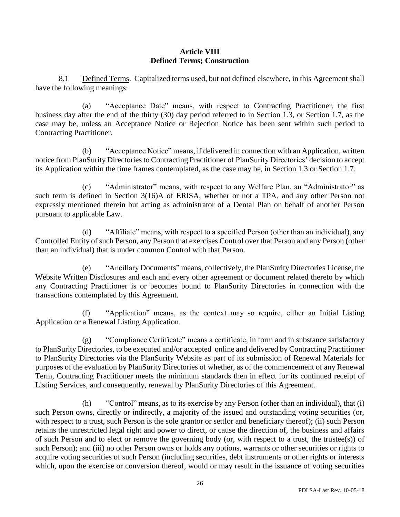## **Article VIII Defined Terms; Construction**

8.1 Defined Terms. Capitalized terms used, but not defined elsewhere, in this Agreement shall have the following meanings:

(a) "Acceptance Date" means, with respect to Contracting Practitioner, the first business day after the end of the thirty (30) day period referred to in Section 1.3, or Section 1.7, as the case may be, unless an Acceptance Notice or Rejection Notice has been sent within such period to Contracting Practitioner.

(b) "Acceptance Notice" means, if delivered in connection with an Application, written notice from PlanSurity Directories to Contracting Practitioner of PlanSurity Directories' decision to accept its Application within the time frames contemplated, as the case may be, in Section 1.3 or Section 1.7.

(c) "Administrator" means, with respect to any Welfare Plan, an "Administrator" as such term is defined in Section 3(16)A of ERISA, whether or not a TPA, and any other Person not expressly mentioned therein but acting as administrator of a Dental Plan on behalf of another Person pursuant to applicable Law.

(d) "Affiliate" means, with respect to a specified Person (other than an individual), any Controlled Entity of such Person, any Person that exercises Control over that Person and any Person (other than an individual) that is under common Control with that Person.

(e) "Ancillary Documents" means, collectively, the PlanSurity Directories License, the Website Written Disclosures and each and every other agreement or document related thereto by which any Contracting Practitioner is or becomes bound to PlanSurity Directories in connection with the transactions contemplated by this Agreement.

(f) "Application" means, as the context may so require, either an Initial Listing Application or a Renewal Listing Application.

(g) "Compliance Certificate" means a certificate, in form and in substance satisfactory to PlanSurity Directories, to be executed and/or accepted online and delivered by Contracting Practitioner to PlanSurity Directories via the PlanSurity Website as part of its submission of Renewal Materials for purposes of the evaluation by PlanSurity Directories of whether, as of the commencement of any Renewal Term, Contracting Practitioner meets the minimum standards then in effect for its continued receipt of Listing Services, and consequently, renewal by PlanSurity Directories of this Agreement.

(h) "Control" means, as to its exercise by any Person (other than an individual), that (i) such Person owns, directly or indirectly, a majority of the issued and outstanding voting securities (or, with respect to a trust, such Person is the sole grantor or settlor and beneficiary thereof); (ii) such Person retains the unrestricted legal right and power to direct, or cause the direction of, the business and affairs of such Person and to elect or remove the governing body (or, with respect to a trust, the trustee(s)) of such Person); and (iii) no other Person owns or holds any options, warrants or other securities or rights to acquire voting securities of such Person (including securities, debt instruments or other rights or interests which, upon the exercise or conversion thereof, would or may result in the issuance of voting securities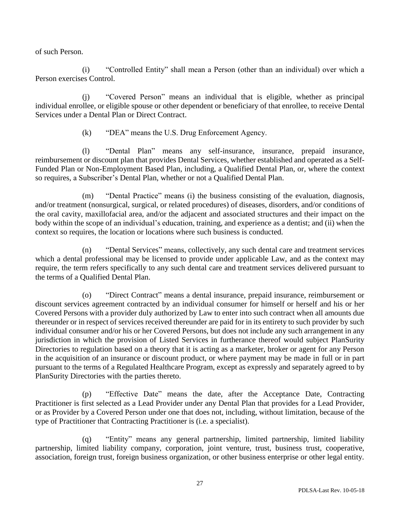of such Person.

(i) "Controlled Entity" shall mean a Person (other than an individual) over which a Person exercises Control.

(j) "Covered Person" means an individual that is eligible, whether as principal individual enrollee, or eligible spouse or other dependent or beneficiary of that enrollee, to receive Dental Services under a Dental Plan or Direct Contract.

(k) "DEA" means the U.S. Drug Enforcement Agency.

(l) "Dental Plan" means any self-insurance, insurance, prepaid insurance, reimbursement or discount plan that provides Dental Services, whether established and operated as a Self-Funded Plan or Non-Employment Based Plan, including, a Qualified Dental Plan, or, where the context so requires, a Subscriber's Dental Plan, whether or not a Qualified Dental Plan.

(m) "Dental Practice" means (i) the business consisting of the evaluation, diagnosis, and/or treatment (nonsurgical, surgical, or related procedures) of diseases, disorders, and/or conditions of the oral cavity, maxillofacial area, and/or the adjacent and associated structures and their impact on the body within the scope of an individual's education, training, and experience as a dentist; and (ii) when the context so requires, the location or locations where such business is conducted.

(n) "Dental Services" means, collectively, any such dental care and treatment services which a dental professional may be licensed to provide under applicable Law, and as the context may require, the term refers specifically to any such dental care and treatment services delivered pursuant to the terms of a Qualified Dental Plan.

(o) "Direct Contract" means a dental insurance, prepaid insurance, reimbursement or discount services agreement contracted by an individual consumer for himself or herself and his or her Covered Persons with a provider duly authorized by Law to enter into such contract when all amounts due thereunder or in respect of services received thereunder are paid for in its entirety to such provider by such individual consumer and/or his or her Covered Persons, but does not include any such arrangement in any jurisdiction in which the provision of Listed Services in furtherance thereof would subject PlanSurity Directories to regulation based on a theory that it is acting as a marketer, broker or agent for any Person in the acquisition of an insurance or discount product, or where payment may be made in full or in part pursuant to the terms of a Regulated Healthcare Program, except as expressly and separately agreed to by PlanSurity Directories with the parties thereto.

(p) "Effective Date" means the date, after the Acceptance Date, Contracting Practitioner is first selected as a Lead Provider under any Dental Plan that provides for a Lead Provider, or as Provider by a Covered Person under one that does not, including, without limitation, because of the type of Practitioner that Contracting Practitioner is (i.e. a specialist).

(q) "Entity" means any general partnership, limited partnership, limited liability partnership, limited liability company, corporation, joint venture, trust, business trust, cooperative, association, foreign trust, foreign business organization, or other business enterprise or other legal entity.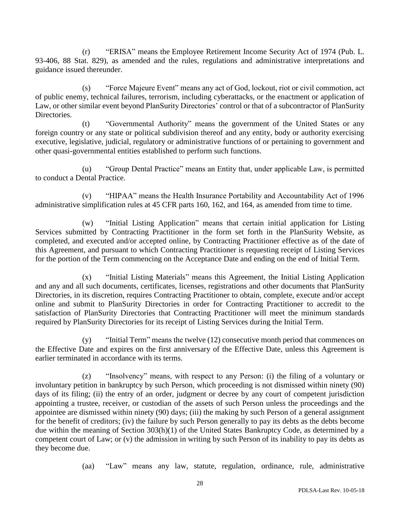(r) "ERISA" means the Employee Retirement Income Security Act of 1974 (Pub. L. 93-406, 88 Stat. 829), as amended and the rules, regulations and administrative interpretations and guidance issued thereunder.

(s) "Force Majeure Event" means any act of God, lockout, riot or civil commotion, act of public enemy, technical failures, terrorism, including cyberattacks, or the enactment or application of Law, or other similar event beyond PlanSurity Directories' control or that of a subcontractor of PlanSurity Directories.

(t) "Governmental Authority" means the government of the United States or any foreign country or any state or political subdivision thereof and any entity, body or authority exercising executive, legislative, judicial, regulatory or administrative functions of or pertaining to government and other quasi-governmental entities established to perform such functions.

(u) "Group Dental Practice" means an Entity that, under applicable Law, is permitted to conduct a Dental Practice.

(v) "HIPAA" means the Health Insurance Portability and Accountability Act of 1996 administrative simplification rules at 45 CFR parts 160, 162, and 164, as amended from time to time.

(w) "Initial Listing Application" means that certain initial application for Listing Services submitted by Contracting Practitioner in the form set forth in the PlanSurity Website, as completed, and executed and/or accepted online, by Contracting Practitioner effective as of the date of this Agreement, and pursuant to which Contracting Practitioner is requesting receipt of Listing Services for the portion of the Term commencing on the Acceptance Date and ending on the end of Initial Term.

(x) "Initial Listing Materials" means this Agreement, the Initial Listing Application and any and all such documents, certificates, licenses, registrations and other documents that PlanSurity Directories, in its discretion, requires Contracting Practitioner to obtain, complete, execute and/or accept online and submit to PlanSurity Directories in order for Contracting Practitioner to accredit to the satisfaction of PlanSurity Directories that Contracting Practitioner will meet the minimum standards required by PlanSurity Directories for its receipt of Listing Services during the Initial Term.

(y) "Initial Term" means the twelve (12) consecutive month period that commences on the Effective Date and expires on the first anniversary of the Effective Date, unless this Agreement is earlier terminated in accordance with its terms.

(z) "Insolvency" means, with respect to any Person: (i) the filing of a voluntary or involuntary petition in bankruptcy by such Person, which proceeding is not dismissed within ninety (90) days of its filing; (ii) the entry of an order, judgment or decree by any court of competent jurisdiction appointing a trustee, receiver, or custodian of the assets of such Person unless the proceedings and the appointee are dismissed within ninety (90) days; (iii) the making by such Person of a general assignment for the benefit of creditors; (iv) the failure by such Person generally to pay its debts as the debts become due within the meaning of Section 303(h)(1) of the United States Bankruptcy Code, as determined by a competent court of Law; or (v) the admission in writing by such Person of its inability to pay its debts as they become due.

(aa) "Law" means any law, statute, regulation, ordinance, rule, administrative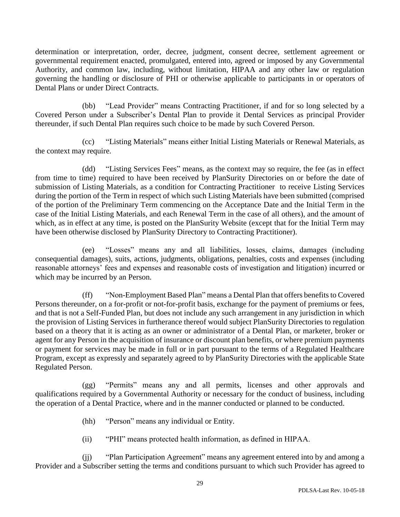determination or interpretation, order, decree, judgment, consent decree, settlement agreement or governmental requirement enacted, promulgated, entered into, agreed or imposed by any Governmental Authority, and common law, including, without limitation, HIPAA and any other law or regulation governing the handling or disclosure of PHI or otherwise applicable to participants in or operators of Dental Plans or under Direct Contracts.

(bb) "Lead Provider" means Contracting Practitioner, if and for so long selected by a Covered Person under a Subscriber's Dental Plan to provide it Dental Services as principal Provider thereunder, if such Dental Plan requires such choice to be made by such Covered Person.

(cc) "Listing Materials" means either Initial Listing Materials or Renewal Materials, as the context may require.

(dd) "Listing Services Fees" means, as the context may so require, the fee (as in effect from time to time) required to have been received by PlanSurity Directories on or before the date of submission of Listing Materials, as a condition for Contracting Practitioner to receive Listing Services during the portion of the Term in respect of which such Listing Materials have been submitted (comprised of the portion of the Preliminary Term commencing on the Acceptance Date and the Initial Term in the case of the Initial Listing Materials, and each Renewal Term in the case of all others), and the amount of which, as in effect at any time, is posted on the PlanSurity Website (except that for the Initial Term may have been otherwise disclosed by PlanSurity Directory to Contracting Practitioner).

(ee) "Losses" means any and all liabilities, losses, claims, damages (including consequential damages), suits, actions, judgments, obligations, penalties, costs and expenses (including reasonable attorneys' fees and expenses and reasonable costs of investigation and litigation) incurred or which may be incurred by an Person.

(ff) "Non-Employment Based Plan" means a Dental Plan that offers benefits to Covered Persons thereunder, on a for-profit or not-for-profit basis, exchange for the payment of premiums or fees, and that is not a Self-Funded Plan, but does not include any such arrangement in any jurisdiction in which the provision of Listing Services in furtherance thereof would subject PlanSurity Directories to regulation based on a theory that it is acting as an owner or administrator of a Dental Plan, or marketer, broker or agent for any Person in the acquisition of insurance or discount plan benefits, or where premium payments or payment for services may be made in full or in part pursuant to the terms of a Regulated Healthcare Program, except as expressly and separately agreed to by PlanSurity Directories with the applicable State Regulated Person.

(gg) "Permits" means any and all permits, licenses and other approvals and qualifications required by a Governmental Authority or necessary for the conduct of business, including the operation of a Dental Practice, where and in the manner conducted or planned to be conducted.

(hh) "Person" means any individual or Entity.

(ii) "PHI" means protected health information, as defined in HIPAA.

(jj) "Plan Participation Agreement" means any agreement entered into by and among a Provider and a Subscriber setting the terms and conditions pursuant to which such Provider has agreed to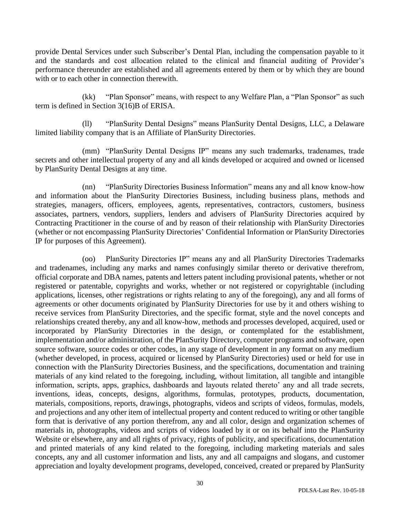provide Dental Services under such Subscriber's Dental Plan, including the compensation payable to it and the standards and cost allocation related to the clinical and financial auditing of Provider's performance thereunder are established and all agreements entered by them or by which they are bound with or to each other in connection therewith.

(kk) "Plan Sponsor" means, with respect to any Welfare Plan, a "Plan Sponsor" as such term is defined in Section 3(16)B of ERISA.

(ll) "PlanSurity Dental Designs" means PlanSurity Dental Designs, LLC, a Delaware limited liability company that is an Affiliate of PlanSurity Directories.

(mm) "PlanSurity Dental Designs IP" means any such trademarks, tradenames, trade secrets and other intellectual property of any and all kinds developed or acquired and owned or licensed by PlanSurity Dental Designs at any time.

(nn) "PlanSurity Directories Business Information" means any and all know know-how and information about the PlanSurity Directories Business, including business plans, methods and strategies, managers, officers, employees, agents, representatives, contractors, customers, business associates, partners, vendors, suppliers, lenders and advisers of PlanSurity Directories acquired by Contracting Practitioner in the course of and by reason of their relationship with PlanSurity Directories (whether or not encompassing PlanSurity Directories' Confidential Information or PlanSurity Directories IP for purposes of this Agreement).

(oo) PlanSurity Directories IP" means any and all PlanSurity Directories Trademarks and tradenames, including any marks and names confusingly similar thereto or derivative therefrom, official corporate and DBA names, patents and letters patent including provisional patents, whether or not registered or patentable, copyrights and works, whether or not registered or copyrightable (including applications, licenses, other registrations or rights relating to any of the foregoing), any and all forms of agreements or other documents originated by PlanSurity Directories for use by it and others wishing to receive services from PlanSurity Directories, and the specific format, style and the novel concepts and relationships created thereby, any and all know-how, methods and processes developed, acquired, used or incorporated by PlanSurity Directories in the design, or contemplated for the establishment, implementation and/or administration, of the PlanSurity Directory, computer programs and software, open source software, source codes or other codes, in any stage of development in any format on any medium (whether developed, in process, acquired or licensed by PlanSurity Directories) used or held for use in connection with the PlanSurity Directories Business, and the specifications, documentation and training materials of any kind related to the foregoing, including, without limitation, all tangible and intangible information, scripts, apps, graphics, dashboards and layouts related thereto' any and all trade secrets, inventions, ideas, concepts, designs, algorithms, formulas, prototypes, products, documentation, materials, compositions, reports, drawings, photographs, videos and scripts of videos, formulas, models, and projections and any other item of intellectual property and content reduced to writing or other tangible form that is derivative of any portion therefrom, any and all color, design and organization schemes of materials in, photographs, videos and scripts of videos loaded by it or on its behalf into the PlanSurity Website or elsewhere, any and all rights of privacy, rights of publicity, and specifications, documentation and printed materials of any kind related to the foregoing, including marketing materials and sales concepts, any and all customer information and lists, any and all campaigns and slogans, and customer appreciation and loyalty development programs, developed, conceived, created or prepared by PlanSurity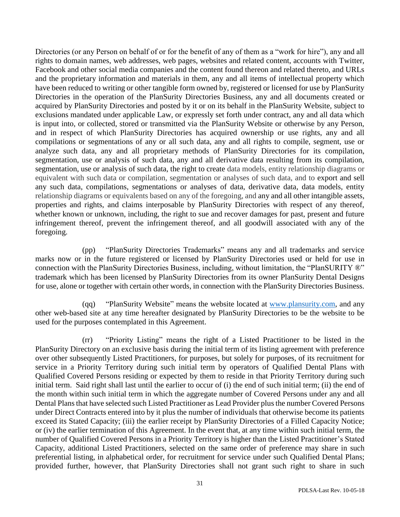Directories (or any Person on behalf of or for the benefit of any of them as a "work for hire"), any and all rights to domain names, web addresses, web pages, websites and related content, accounts with Twitter, Facebook and other social media companies and the content found thereon and related thereto, and URLs and the proprietary information and materials in them, any and all items of intellectual property which have been reduced to writing or other tangible form owned by, registered or licensed for use by PlanSurity Directories in the operation of the PlanSurity Directories Business, any and all documents created or acquired by PlanSurity Directories and posted by it or on its behalf in the PlanSurity Website, subject to exclusions mandated under applicable Law, or expressly set forth under contract, any and all data which is input into, or collected, stored or transmitted via the PlanSurity Website or otherwise by any Person, and in respect of which PlanSurity Directories has acquired ownership or use rights, any and all compilations or segmentations of any or all such data, any and all rights to compile, segment, use or analyze such data, any and all proprietary methods of PlanSurity Directories for its compilation, segmentation, use or analysis of such data, any and all derivative data resulting from its compilation, segmentation, use or analysis of such data, the right to create data models, entity relationship diagrams or equivalent with such data or compilation, segmentation or analyses of such data, and to export and sell any such data, compilations, segmentations or analyses of data, derivative data, data models, entity relationship diagrams or equivalents based on any of the foregoing, and any and all other intangible assets, properties and rights, and claims interposable by PlanSurity Directories with respect of any thereof, whether known or unknown, including, the right to sue and recover damages for past, present and future infringement thereof, prevent the infringement thereof, and all goodwill associated with any of the foregoing.

(pp) "PlanSurity Directories Trademarks" means any and all trademarks and service marks now or in the future registered or licensed by PlanSurity Directories used or held for use in connection with the PlanSurity Directories Business, including, without limitation, the "PlanSURITY ®" trademark which has been licensed by PlanSurity Directories from its owner PlanSurity Dental Designs for use, alone or together with certain other words, in connection with the PlanSurity Directories Business.

(qq) "PlanSurity Website" means the website located at [www.plansurity.com,](http://www.plansurity.com/) and any other web-based site at any time hereafter designated by PlanSurity Directories to be the website to be used for the purposes contemplated in this Agreement.

(rr) "Priority Listing" means the right of a Listed Practitioner to be listed in the PlanSurity Directory on an exclusive basis during the initial term of its listing agreement with preference over other subsequently Listed Practitioners, for purposes, but solely for purposes, of its recruitment for service in a Priority Territory during such initial term by operators of Qualified Dental Plans with Qualified Covered Persons residing or expected by them to reside in that Priority Territory during such initial term. Said right shall last until the earlier to occur of (i) the end of such initial term; (ii) the end of the month within such initial term in which the aggregate number of Covered Persons under any and all Dental Plans that have selected such Listed Practitioner as Lead Provider plus the number Covered Persons under Direct Contracts entered into by it plus the number of individuals that otherwise become its patients exceed its Stated Capacity; (iii) the earlier receipt by PlanSurity Directories of a Filled Capacity Notice; or (iv) the earlier termination of this Agreement. In the event that, at any time within such initial term, the number of Qualified Covered Persons in a Priority Territory is higher than the Listed Practitioner's Stated Capacity, additional Listed Practitioners, selected on the same order of preference may share in such preferential listing, in alphabetical order, for recruitment for service under such Qualified Dental Plans; provided further, however, that PlanSurity Directories shall not grant such right to share in such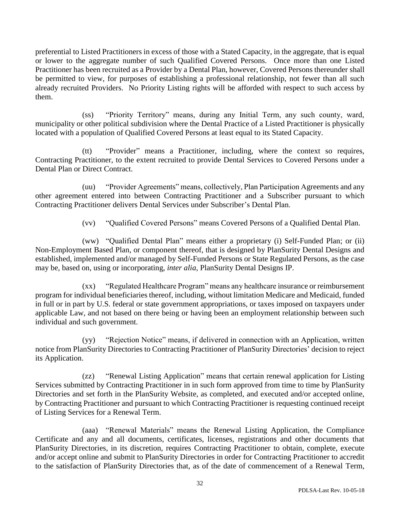preferential to Listed Practitioners in excess of those with a Stated Capacity, in the aggregate, that is equal or lower to the aggregate number of such Qualified Covered Persons. Once more than one Listed Practitioner has been recruited as a Provider by a Dental Plan, however, Covered Persons thereunder shall be permitted to view, for purposes of establishing a professional relationship, not fewer than all such already recruited Providers. No Priority Listing rights will be afforded with respect to such access by them.

(ss) "Priority Territory" means, during any Initial Term, any such county, ward, municipality or other political subdivision where the Dental Practice of a Listed Practitioner is physically located with a population of Qualified Covered Persons at least equal to its Stated Capacity.

(tt) "Provider" means a Practitioner, including, where the context so requires, Contracting Practitioner, to the extent recruited to provide Dental Services to Covered Persons under a Dental Plan or Direct Contract.

(uu) "Provider Agreements" means, collectively, Plan Participation Agreements and any other agreement entered into between Contracting Practitioner and a Subscriber pursuant to which Contracting Practitioner delivers Dental Services under Subscriber's Dental Plan.

(vv) "Qualified Covered Persons" means Covered Persons of a Qualified Dental Plan.

(ww) "Qualified Dental Plan" means either a proprietary (i) Self-Funded Plan; or (ii) Non-Employment Based Plan, or component thereof, that is designed by PlanSurity Dental Designs and established, implemented and/or managed by Self-Funded Persons or State Regulated Persons, as the case may be, based on, using or incorporating, *inter alia,* PlanSurity Dental Designs IP.

(xx) "Regulated Healthcare Program" means any healthcare insurance or reimbursement program for individual beneficiaries thereof, including, without limitation Medicare and Medicaid, funded in full or in part by U.S. federal or state government appropriations, or taxes imposed on taxpayers under applicable Law, and not based on there being or having been an employment relationship between such individual and such government.

(yy) "Rejection Notice" means, if delivered in connection with an Application, written notice from PlanSurity Directories to Contracting Practitioner of PlanSurity Directories' decision to reject its Application.

(zz) "Renewal Listing Application" means that certain renewal application for Listing Services submitted by Contracting Practitioner in in such form approved from time to time by PlanSurity Directories and set forth in the PlanSurity Website, as completed, and executed and/or accepted online, by Contracting Practitioner and pursuant to which Contracting Practitioner is requesting continued receipt of Listing Services for a Renewal Term.

(aaa) "Renewal Materials" means the Renewal Listing Application, the Compliance Certificate and any and all documents, certificates, licenses, registrations and other documents that PlanSurity Directories, in its discretion, requires Contracting Practitioner to obtain, complete, execute and/or accept online and submit to PlanSurity Directories in order for Contracting Practitioner to accredit to the satisfaction of PlanSurity Directories that, as of the date of commencement of a Renewal Term,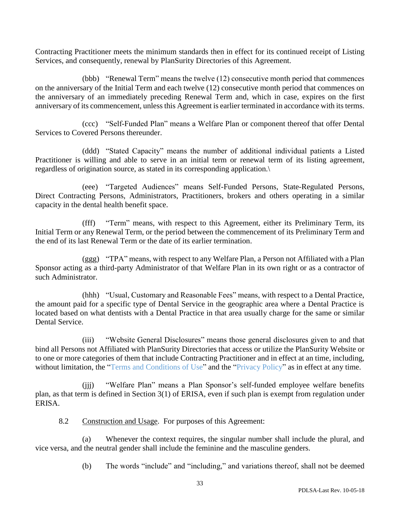Contracting Practitioner meets the minimum standards then in effect for its continued receipt of Listing Services, and consequently, renewal by PlanSurity Directories of this Agreement.

(bbb) "Renewal Term" means the twelve (12) consecutive month period that commences on the anniversary of the Initial Term and each twelve (12) consecutive month period that commences on the anniversary of an immediately preceding Renewal Term and, which in case, expires on the first anniversary of its commencement, unless this Agreement is earlier terminated in accordance with its terms.

(ccc) "Self-Funded Plan" means a Welfare Plan or component thereof that offer Dental Services to Covered Persons thereunder.

(ddd) "Stated Capacity" means the number of additional individual patients a Listed Practitioner is willing and able to serve in an initial term or renewal term of its listing agreement, regardless of origination source, as stated in its corresponding application.\

(eee) "Targeted Audiences" means Self-Funded Persons, State-Regulated Persons, Direct Contracting Persons, Administrators, Practitioners, brokers and others operating in a similar capacity in the dental health benefit space.

(fff) "Term" means, with respect to this Agreement, either its Preliminary Term, its Initial Term or any Renewal Term, or the period between the commencement of its Preliminary Term and the end of its last Renewal Term or the date of its earlier termination.

(ggg) "TPA" means, with respect to any Welfare Plan, a Person not Affiliated with a Plan Sponsor acting as a third-party Administrator of that Welfare Plan in its own right or as a contractor of such Administrator.

(hhh) "Usual, Customary and Reasonable Fees" means, with respect to a Dental Practice, the amount paid for a specific type of Dental Service in the geographic area where a Dental Practice is located based on what dentists with a Dental Practice in that area usually charge for the same or similar Dental Service.

(iii) "Website General Disclosures" means those general disclosures given to and that bind all Persons not Affiliated with PlanSurity Directories that access or utilize the PlanSurity Website or to one or more categories of them that include Contracting Practitioner and in effect at an time, including, without limitation, the "Terms and Conditions of Use" and the "Privacy Policy" as in effect at any time.

(jjj) "Welfare Plan" means a Plan Sponsor's self-funded employee welfare benefits plan, as that term is defined in Section 3(1) of ERISA, even if such plan is exempt from regulation under ERISA.

8.2 Construction and Usage. For purposes of this Agreement:

(a) Whenever the context requires, the singular number shall include the plural, and vice versa, and the neutral gender shall include the feminine and the masculine genders.

(b) The words "include" and "including," and variations thereof, shall not be deemed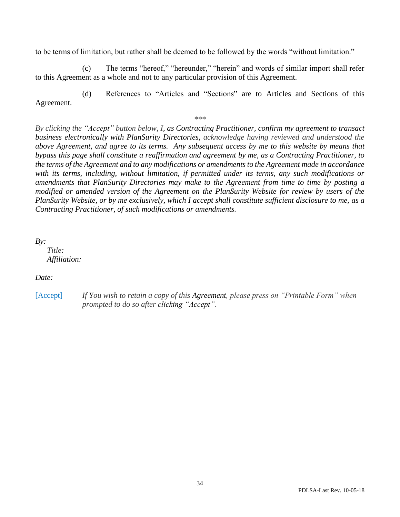to be terms of limitation, but rather shall be deemed to be followed by the words "without limitation."

(c) The terms "hereof," "hereunder," "herein" and words of similar import shall refer to this Agreement as a whole and not to any particular provision of this Agreement.

(d) References to "Articles and "Sections" are to Articles and Sections of this Agreement.

*\*\*\**

*By clicking the "Accept" button below, I, as Contracting Practitioner, confirm my agreement to transact business electronically with PlanSurity Directories, acknowledge having reviewed and understood the above Agreement, and agree to its terms. Any subsequent access by me to this website by means that bypass this page shall constitute a reaffirmation and agreement by me, as a Contracting Practitioner, to the terms of the Agreement and to any modifications or amendments to the Agreement made in accordance with its terms, including, without limitation, if permitted under its terms, any such modifications or amendments that PlanSurity Directories may make to the Agreement from time to time by posting a modified or amended version of the Agreement on the PlanSurity Website for review by users of the PlanSurity Website, or by me exclusively, which I accept shall constitute sufficient disclosure to me, as a Contracting Practitioner, of such modifications or amendments.*

*By:* 

 *Title: Affiliation:* 

*Date:* 

[Accept] *If You wish to retain a copy of this Agreement, please press on "Printable Form" when prompted to do so after clicking "Accept".*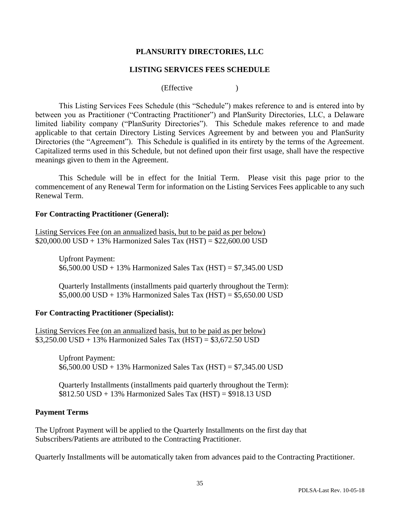## **PLANSURITY DIRECTORIES, LLC**

### **LISTING SERVICES FEES SCHEDULE**

(Effective )

This Listing Services Fees Schedule (this "Schedule") makes reference to and is entered into by between you as Practitioner ("Contracting Practitioner") and PlanSurity Directories, LLC, a Delaware limited liability company ("PlanSurity Directories"). This Schedule makes reference to and made applicable to that certain Directory Listing Services Agreement by and between you and PlanSurity Directories (the "Agreement"). This Schedule is qualified in its entirety by the terms of the Agreement. Capitalized terms used in this Schedule, but not defined upon their first usage, shall have the respective meanings given to them in the Agreement.

This Schedule will be in effect for the Initial Term. Please visit this page prior to the commencement of any Renewal Term for information on the Listing Services Fees applicable to any such Renewal Term.

### **For Contracting Practitioner (General):**

Listing Services Fee (on an annualized basis, but to be paid as per below) \$20,000.00 USD + 13% Harmonized Sales Tax (HST) =  $$22,600.00$  USD

Upfront Payment: \$6,500.00 USD + 13% Harmonized Sales Tax (HST) = \$7,345.00 USD

Quarterly Installments (installments paid quarterly throughout the Term):  $$5,000.00$  USD + 13% Harmonized Sales Tax (HST) =  $$5,650.00$  USD

### **For Contracting Practitioner (Specialist):**

Listing Services Fee (on an annualized basis, but to be paid as per below) \$3,250.00 USD + 13% Harmonized Sales Tax (HST) = \$3,672.50 USD

Upfront Payment:  $$6,500.00$  USD + 13% Harmonized Sales Tax (HST) = \$7,345.00 USD

Quarterly Installments (installments paid quarterly throughout the Term):  $$812.50$  USD + 13% Harmonized Sales Tax (HST) =  $$918.13$  USD

### **Payment Terms**

The Upfront Payment will be applied to the Quarterly Installments on the first day that Subscribers/Patients are attributed to the Contracting Practitioner.

Quarterly Installments will be automatically taken from advances paid to the Contracting Practitioner.